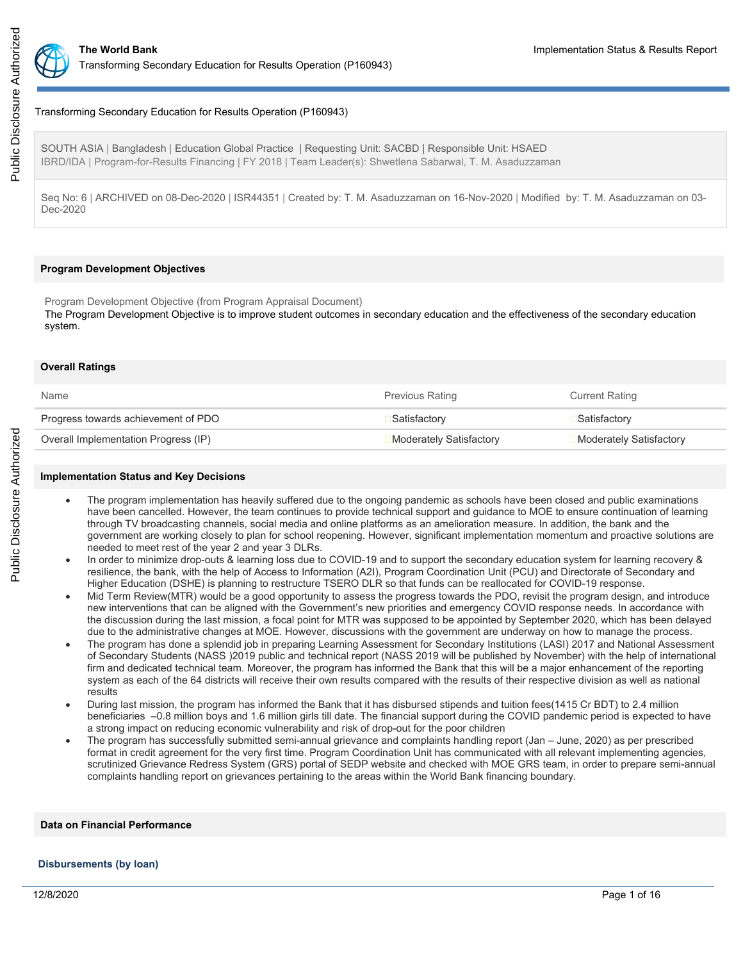

# Transforming Secondary Education for Results Operation (P160943)

SOUTH ASIA | Bangladesh | Education Global Practice | Requesting Unit: SACBD | Responsible Unit: HSAED IBRD/IDA | Program-for-Results Financing | FY 2018 | Team Leader(s): Shwetlena Sabarwal, T. M. Asaduzzaman

Seq No: 6 | ARCHIVED on 08-Dec-2020 | ISR44351 | Created by: T. M. Asaduzzaman on 16-Nov-2020 | Modified by: T. M. Asaduzzaman on 03- Dec-2020

### **Program Development Objectives**

Program Development Objective (from Program Appraisal Document) The Program Development Objective is to improve student outcomes in secondary education and the effectiveness of the secondary education system.

### **Overall Ratings**

| Name                                 | <b>Previous Rating</b>  | <b>Current Rating</b>   |
|--------------------------------------|-------------------------|-------------------------|
| Progress towards achievement of PDO  | ⊒Satisfactorv           | <b>■Satisfactory</b>    |
| Overall Implementation Progress (IP) | Moderately Satisfactory | Moderately Satisfactory |
|                                      |                         |                         |

#### **Implementation Status and Key Decisions**

- The program implementation has heavily suffered due to the ongoing pandemic as schools have been closed and public examinations have been cancelled. However, the team continues to provide technical support and guidance to MOE to ensure continuation of learning through TV broadcasting channels, social media and online platforms as an amelioration measure. In addition, the bank and the government are working closely to plan for school reopening. However, significant implementation momentum and proactive solutions are needed to meet rest of the year 2 and year 3 DLRs.
- In order to minimize drop-outs & learning loss due to COVID-19 and to support the secondary education system for learning recovery & resilience, the bank, with the help of Access to Information (A2I), Program Coordination Unit (PCU) and Directorate of Secondary and Higher Education (DSHE) is planning to restructure TSERO DLR so that funds can be reallocated for COVID-19 response.
- Mid Term Review(MTR) would be a good opportunity to assess the progress towards the PDO, revisit the program design, and introduce new interventions that can be aligned with the Government's new priorities and emergency COVID response needs. In accordance with the discussion during the last mission, a focal point for MTR was supposed to be appointed by September 2020, which has been delayed due to the administrative changes at MOE. However, discussions with the government are underway on how to manage the process.
- The program has done a splendid job in preparing Learning Assessment for Secondary Institutions (LASI) 2017 and National Assessment of Secondary Students (NASS )2019 public and technical report (NASS 2019 will be published by November) with the help of international firm and dedicated technical team. Moreover, the program has informed the Bank that this will be a major enhancement of the reporting system as each of the 64 districts will receive their own results compared with the results of their respective division as well as national results
- During last mission, the program has informed the Bank that it has disbursed stipends and tuition fees(1415 Cr BDT) to 2.4 million beneficiaries –0.8 million boys and 1.6 million girls till date. The financial support during the COVID pandemic period is expected to have a strong impact on reducing economic vulnerability and risk of drop-out for the poor children
- The program has successfully submitted semi-annual grievance and complaints handling report (Jan June, 2020) as per prescribed format in credit agreement for the very first time. Program Coordination Unit has communicated with all relevant implementing agencies, scrutinized Grievance Redress System (GRS) portal of SEDP website and checked with MOE GRS team, in order to prepare semi-annual complaints handling report on grievances pertaining to the areas within the World Bank financing boundary.

# **Data on Financial Performance**

#### **Disbursements (by loan)**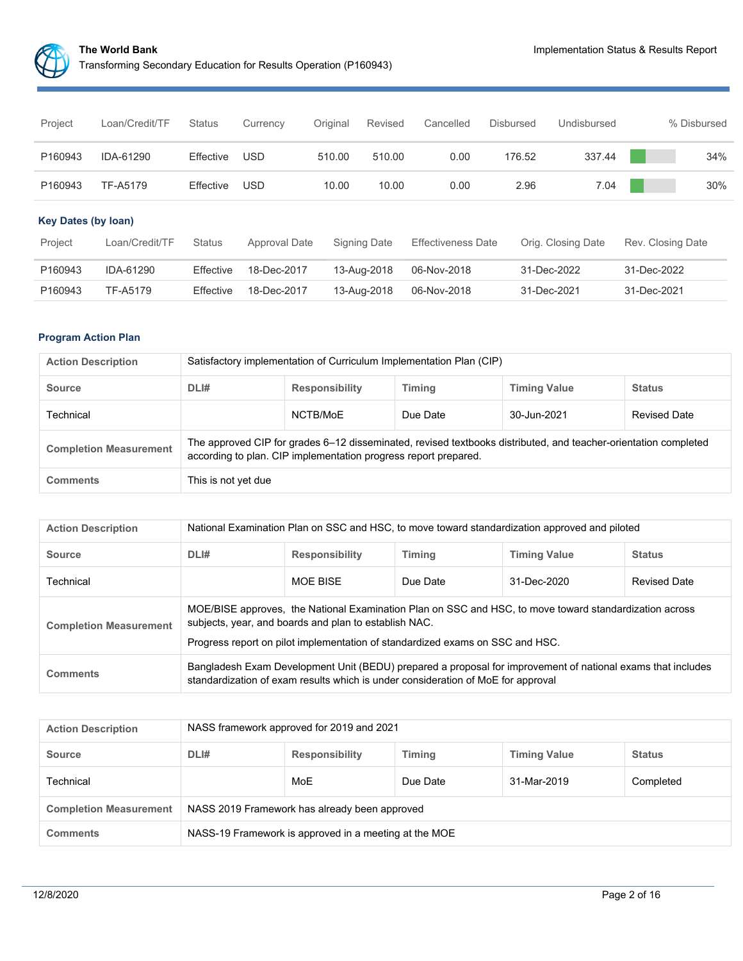

| Project                    | Loan/Credit/TF | <b>Status</b> | Currency      | Original | Revised      | Cancelled                 | <b>Disbursed</b> | Undisbursed        |             | % Disbursed       |
|----------------------------|----------------|---------------|---------------|----------|--------------|---------------------------|------------------|--------------------|-------------|-------------------|
| P160943                    | IDA-61290      | Effective     | <b>USD</b>    | 510.00   | 510.00       | 0.00                      | 176.52           | 337.44             |             | 34%               |
| P160943                    | TF-A5179       | Effective     | <b>USD</b>    | 10.00    | 10.00        | 0.00                      | 2.96             | 7.04               |             | 30%               |
| <b>Key Dates (by loan)</b> |                |               |               |          |              |                           |                  |                    |             |                   |
| Project                    | Loan/Credit/TF | Status        | Approval Date |          | Signing Date | <b>Effectiveness Date</b> |                  | Orig. Closing Date |             | Rev. Closing Date |
| P160943                    | IDA-61290      | Effective     | 18-Dec-2017   |          | 13-Aug-2018  | 06-Nov-2018               |                  | 31-Dec-2022        | 31-Dec-2022 |                   |
| P160943                    | TF-A5179       | Effective     | 18-Dec-2017   |          | 13-Aug-2018  | 06-Nov-2018               |                  | 31-Dec-2021        | 31-Dec-2021 |                   |

# **Program Action Plan**

| <b>Action Description</b>     | Satisfactory implementation of Curriculum Implementation Plan (CIP)                                                                                                                |          |          |             |                     |  |  |  |
|-------------------------------|------------------------------------------------------------------------------------------------------------------------------------------------------------------------------------|----------|----------|-------------|---------------------|--|--|--|
| <b>Source</b>                 | DLI#<br><b>Responsibility</b><br><b>Timing</b><br><b>Timing Value</b><br><b>Status</b>                                                                                             |          |          |             |                     |  |  |  |
| Technical                     |                                                                                                                                                                                    | NCTB/MoE | Due Date | 30-Jun-2021 | <b>Revised Date</b> |  |  |  |
| <b>Completion Measurement</b> | The approved CIP for grades 6–12 disseminated, revised textbooks distributed, and teacher-orientation completed<br>according to plan. CIP implementation progress report prepared. |          |          |             |                     |  |  |  |
| <b>Comments</b>               | This is not yet due                                                                                                                                                                |          |          |             |                     |  |  |  |

| <b>Action Description</b>     | National Examination Plan on SSC and HSC, to move toward standardization approved and piloted |                                                                                                                                                                                                                                                  |          |             |                     |  |  |  |
|-------------------------------|-----------------------------------------------------------------------------------------------|--------------------------------------------------------------------------------------------------------------------------------------------------------------------------------------------------------------------------------------------------|----------|-------------|---------------------|--|--|--|
| <b>Source</b>                 | DLI#                                                                                          | <b>Timing Value</b><br><b>Responsibility</b><br><b>Timing</b><br><b>Status</b>                                                                                                                                                                   |          |             |                     |  |  |  |
| Technical                     |                                                                                               | MOE BISE                                                                                                                                                                                                                                         | Due Date | 31-Dec-2020 | <b>Revised Date</b> |  |  |  |
| <b>Completion Measurement</b> |                                                                                               | MOE/BISE approves, the National Examination Plan on SSC and HSC, to move toward standardization across<br>subjects, year, and boards and plan to establish NAC.<br>Progress report on pilot implementation of standardized exams on SSC and HSC. |          |             |                     |  |  |  |
| <b>Comments</b>               |                                                                                               | Bangladesh Exam Development Unit (BEDU) prepared a proposal for improvement of national exams that includes<br>standardization of exam results which is under consideration of MoE for approval                                                  |          |             |                     |  |  |  |

| <b>Action Description</b>     | NASS framework approved for 2019 and 2021                                              |                                             |  |  |  |  |  |  |
|-------------------------------|----------------------------------------------------------------------------------------|---------------------------------------------|--|--|--|--|--|--|
| <b>Source</b>                 | DLI#<br><b>Timing</b><br><b>Timing Value</b><br><b>Responsibility</b><br><b>Status</b> |                                             |  |  |  |  |  |  |
| Technical                     |                                                                                        | MoE<br>Due Date<br>31-Mar-2019<br>Completed |  |  |  |  |  |  |
| <b>Completion Measurement</b> | NASS 2019 Framework has already been approved                                          |                                             |  |  |  |  |  |  |
| <b>Comments</b>               | NASS-19 Framework is approved in a meeting at the MOE                                  |                                             |  |  |  |  |  |  |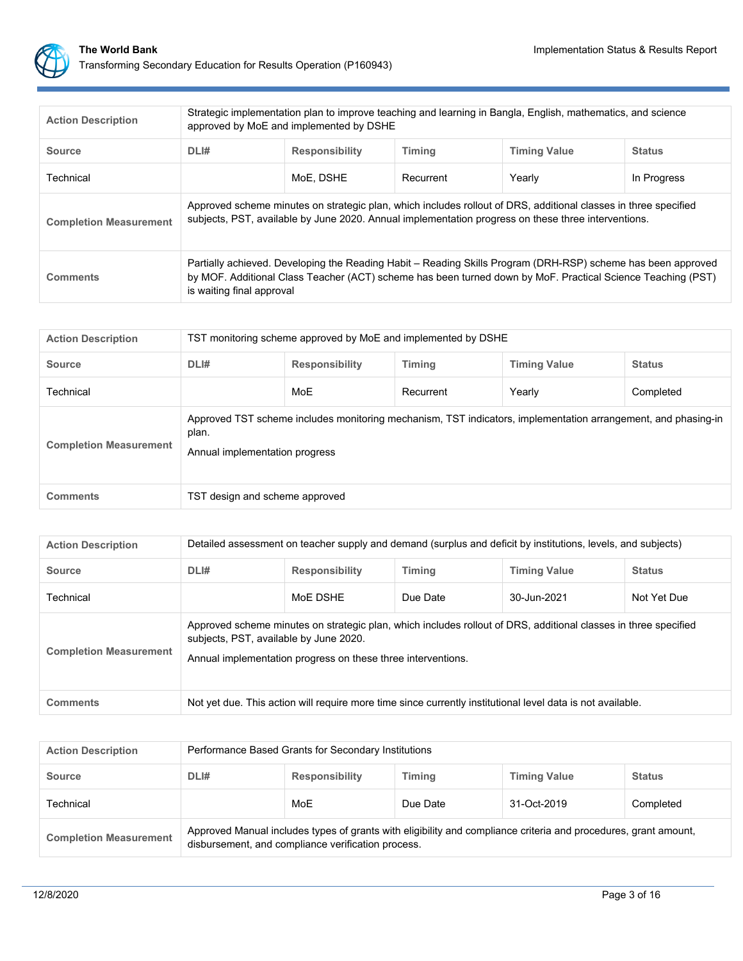

| <b>Action Description</b>     | Strategic implementation plan to improve teaching and learning in Bangla, English, mathematics, and science<br>approved by MoE and implemented by DSHE |                                                                                                                                                                                                                                                          |  |  |  |  |  |  |
|-------------------------------|--------------------------------------------------------------------------------------------------------------------------------------------------------|----------------------------------------------------------------------------------------------------------------------------------------------------------------------------------------------------------------------------------------------------------|--|--|--|--|--|--|
| <b>Source</b>                 | DLI#                                                                                                                                                   | <b>Timing Value</b><br><b>Responsibility</b><br><b>Timina</b><br><b>Status</b>                                                                                                                                                                           |  |  |  |  |  |  |
| Technical                     |                                                                                                                                                        | MoE. DSHE<br>Recurrent<br>Yearly<br>In Progress                                                                                                                                                                                                          |  |  |  |  |  |  |
| <b>Completion Measurement</b> |                                                                                                                                                        | Approved scheme minutes on strategic plan, which includes rollout of DRS, additional classes in three specified<br>subjects, PST, available by June 2020. Annual implementation progress on these three interventions.                                   |  |  |  |  |  |  |
| <b>Comments</b>               |                                                                                                                                                        | Partially achieved. Developing the Reading Habit – Reading Skills Program (DRH-RSP) scheme has been approved<br>by MOF. Additional Class Teacher (ACT) scheme has been turned down by MoF. Practical Science Teaching (PST)<br>is waiting final approval |  |  |  |  |  |  |

| <b>Action Description</b>     | TST monitoring scheme approved by MoE and implemented by DSHE                          |                                                                                                                                                 |           |        |           |  |  |  |
|-------------------------------|----------------------------------------------------------------------------------------|-------------------------------------------------------------------------------------------------------------------------------------------------|-----------|--------|-----------|--|--|--|
| <b>Source</b>                 | DLI#<br><b>Timing Value</b><br><b>Responsibility</b><br><b>Timing</b><br><b>Status</b> |                                                                                                                                                 |           |        |           |  |  |  |
| Technical                     |                                                                                        | MoE                                                                                                                                             | Recurrent | Yearly | Completed |  |  |  |
| <b>Completion Measurement</b> | plan.                                                                                  | Approved TST scheme includes monitoring mechanism, TST indicators, implementation arrangement, and phasing-in<br>Annual implementation progress |           |        |           |  |  |  |
| <b>Comments</b>               | TST design and scheme approved                                                         |                                                                                                                                                 |           |        |           |  |  |  |

| <b>Action Description</b>     | Detailed assessment on teacher supply and demand (surplus and deficit by institutions, levels, and subjects) |                                                                                                                                                                                                                           |               |                     |               |  |  |  |
|-------------------------------|--------------------------------------------------------------------------------------------------------------|---------------------------------------------------------------------------------------------------------------------------------------------------------------------------------------------------------------------------|---------------|---------------------|---------------|--|--|--|
| <b>Source</b>                 | DLI#                                                                                                         | <b>Responsibility</b>                                                                                                                                                                                                     | <b>Timing</b> | <b>Timing Value</b> | <b>Status</b> |  |  |  |
| Technical                     |                                                                                                              | MoF DSHF                                                                                                                                                                                                                  | Due Date      | 30-Jun-2021         | Not Yet Due   |  |  |  |
| <b>Completion Measurement</b> |                                                                                                              | Approved scheme minutes on strategic plan, which includes rollout of DRS, additional classes in three specified<br>subjects, PST, available by June 2020.<br>Annual implementation progress on these three interventions. |               |                     |               |  |  |  |
| <b>Comments</b>               | Not yet due. This action will require more time since currently institutional level data is not available.   |                                                                                                                                                                                                                           |               |                     |               |  |  |  |

| <b>Action Description</b>     | Performance Based Grants for Secondary Institutions                                                                                                                   |                                                                         |  |  |  |  |  |  |  |
|-------------------------------|-----------------------------------------------------------------------------------------------------------------------------------------------------------------------|-------------------------------------------------------------------------|--|--|--|--|--|--|--|
| <b>Source</b>                 | DLI#                                                                                                                                                                  | <b>Timing Value</b><br><b>Responsibility</b><br>Timing<br><b>Status</b> |  |  |  |  |  |  |  |
| Technical                     |                                                                                                                                                                       | MoE<br>31-Oct-2019<br>Due Date<br>Completed                             |  |  |  |  |  |  |  |
| <b>Completion Measurement</b> | Approved Manual includes types of grants with eligibility and compliance criteria and procedures, grant amount,<br>disbursement, and compliance verification process. |                                                                         |  |  |  |  |  |  |  |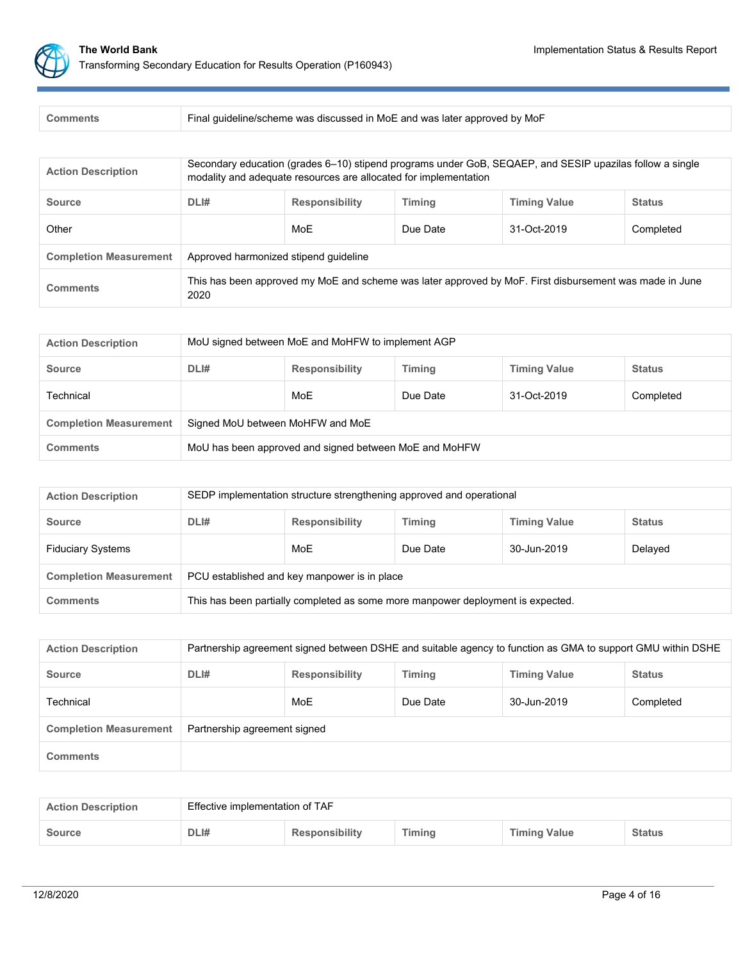

| <b>Action Description</b>     | Secondary education (grades 6-10) stipend programs under GoB, SEQAEP, and SESIP upazilas follow a single<br>modality and adequate resources are allocated for implementation |                                                                                                         |  |  |  |  |  |  |
|-------------------------------|------------------------------------------------------------------------------------------------------------------------------------------------------------------------------|---------------------------------------------------------------------------------------------------------|--|--|--|--|--|--|
| <b>Source</b>                 | DLI#                                                                                                                                                                         | <b>Timing</b><br><b>Timing Value</b><br><b>Responsibility</b><br><b>Status</b>                          |  |  |  |  |  |  |
| Other                         |                                                                                                                                                                              | MoE<br>31-Oct-2019<br>Due Date<br>Completed                                                             |  |  |  |  |  |  |
| <b>Completion Measurement</b> | Approved harmonized stipend quideline                                                                                                                                        |                                                                                                         |  |  |  |  |  |  |
| <b>Comments</b>               | 2020                                                                                                                                                                         | This has been approved my MoE and scheme was later approved by MoF. First disbursement was made in June |  |  |  |  |  |  |

| <b>Action Description</b>     | MoU signed between MoE and MoHFW to implement AGP                                      |                                             |  |  |  |  |  |  |  |
|-------------------------------|----------------------------------------------------------------------------------------|---------------------------------------------|--|--|--|--|--|--|--|
| <b>Source</b>                 | DLI#<br><b>Timing</b><br><b>Timing Value</b><br><b>Responsibility</b><br><b>Status</b> |                                             |  |  |  |  |  |  |  |
| Technical                     |                                                                                        | MoE<br>31-Oct-2019<br>Completed<br>Due Date |  |  |  |  |  |  |  |
| <b>Completion Measurement</b> | Signed MoU between MoHFW and MoE                                                       |                                             |  |  |  |  |  |  |  |
| <b>Comments</b>               | MoU has been approved and signed between MoE and MoHFW                                 |                                             |  |  |  |  |  |  |  |

| <b>Action Description</b>     | SEDP implementation structure strengthening approved and operational            |                                           |  |  |  |  |  |  |  |
|-------------------------------|---------------------------------------------------------------------------------|-------------------------------------------|--|--|--|--|--|--|--|
| <b>Source</b>                 | DLI#<br><b>Responsibility</b><br>Timing<br><b>Timing Value</b><br><b>Status</b> |                                           |  |  |  |  |  |  |  |
| <b>Fiduciary Systems</b>      |                                                                                 | MoE<br>Delayed<br>Due Date<br>30-Jun-2019 |  |  |  |  |  |  |  |
| <b>Completion Measurement</b> | PCU established and key manpower is in place                                    |                                           |  |  |  |  |  |  |  |
| <b>Comments</b>               | This has been partially completed as some more manpower deployment is expected. |                                           |  |  |  |  |  |  |  |

| <b>Action Description</b>     | Partnership agreement signed between DSHE and suitable agency to function as GMA to support GMU within DSHE |     |          |             |           |  |
|-------------------------------|-------------------------------------------------------------------------------------------------------------|-----|----------|-------------|-----------|--|
| <b>Source</b>                 | DLI#<br><b>Timing Value</b><br><b>Responsibility</b><br>Timing<br><b>Status</b>                             |     |          |             |           |  |
| Technical                     |                                                                                                             | MoE | Due Date | 30-Jun-2019 | Completed |  |
| <b>Completion Measurement</b> | Partnership agreement signed                                                                                |     |          |             |           |  |
| <b>Comments</b>               |                                                                                                             |     |          |             |           |  |

| <b>Action Description</b> | Effective implementation of TAF |                       |        |                     |               |  |
|---------------------------|---------------------------------|-----------------------|--------|---------------------|---------------|--|
| <b>Source</b>             | DLI#                            | <b>Responsibility</b> | Timing | <b>Timing Value</b> | <b>Status</b> |  |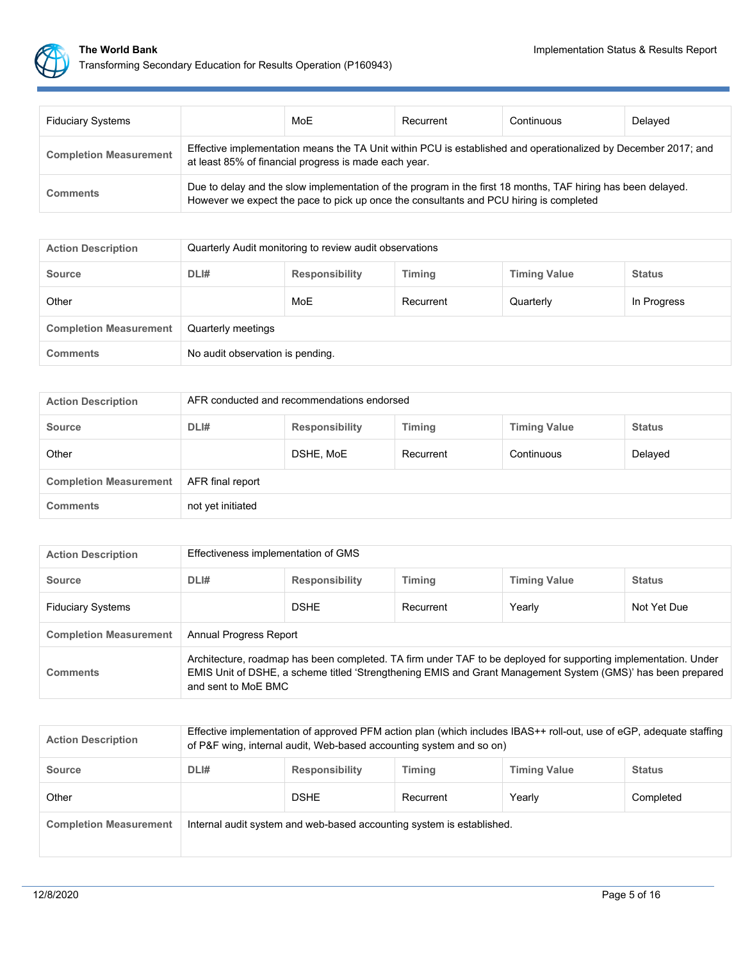

| <b>Fiduciary Systems</b>      |                                                                                                                                                                                                        | MoE | Recurrent | Continuous | Delayed |  |
|-------------------------------|--------------------------------------------------------------------------------------------------------------------------------------------------------------------------------------------------------|-----|-----------|------------|---------|--|
| <b>Completion Measurement</b> | Effective implementation means the TA Unit within PCU is established and operationalized by December 2017; and<br>at least 85% of financial progress is made each year.                                |     |           |            |         |  |
| <b>Comments</b>               | Due to delay and the slow implementation of the program in the first 18 months, TAF hiring has been delayed.<br>However we expect the pace to pick up once the consultants and PCU hiring is completed |     |           |            |         |  |

| <b>Action Description</b>     | Quarterly Audit monitoring to review audit observations                                |     |           |           |             |  |  |
|-------------------------------|----------------------------------------------------------------------------------------|-----|-----------|-----------|-------------|--|--|
| <b>Source</b>                 | DLI#<br><b>Timing</b><br><b>Timing Value</b><br><b>Status</b><br><b>Responsibility</b> |     |           |           |             |  |  |
| Other                         |                                                                                        | MoE | Recurrent | Quarterly | In Progress |  |  |
| <b>Completion Measurement</b> | Quarterly meetings                                                                     |     |           |           |             |  |  |
| <b>Comments</b>               | No audit observation is pending.                                                       |     |           |           |             |  |  |

| <b>Action Description</b>     | AFR conducted and recommendations endorsed                                             |           |           |            |         |  |  |
|-------------------------------|----------------------------------------------------------------------------------------|-----------|-----------|------------|---------|--|--|
| <b>Source</b>                 | DLI#<br><b>Timing</b><br><b>Timing Value</b><br><b>Responsibility</b><br><b>Status</b> |           |           |            |         |  |  |
| Other                         |                                                                                        | DSHE, MoE | Recurrent | Continuous | Delayed |  |  |
| <b>Completion Measurement</b> | AFR final report                                                                       |           |           |            |         |  |  |
| <b>Comments</b>               | not yet initiated                                                                      |           |           |            |         |  |  |

| <b>Action Description</b>     | Effectiveness implementation of GMS                                                                                                                                                                                                                   |                                                                                |           |        |             |  |  |
|-------------------------------|-------------------------------------------------------------------------------------------------------------------------------------------------------------------------------------------------------------------------------------------------------|--------------------------------------------------------------------------------|-----------|--------|-------------|--|--|
| <b>Source</b>                 | DLI#                                                                                                                                                                                                                                                  | <b>Timing</b><br><b>Timing Value</b><br><b>Responsibility</b><br><b>Status</b> |           |        |             |  |  |
| <b>Fiduciary Systems</b>      |                                                                                                                                                                                                                                                       | <b>DSHE</b>                                                                    | Recurrent | Yearly | Not Yet Due |  |  |
| <b>Completion Measurement</b> | Annual Progress Report                                                                                                                                                                                                                                |                                                                                |           |        |             |  |  |
| <b>Comments</b>               | Architecture, roadmap has been completed. TA firm under TAF to be deployed for supporting implementation. Under<br>EMIS Unit of DSHE, a scheme titled 'Strengthening EMIS and Grant Management System (GMS)' has been prepared<br>and sent to MoE BMC |                                                                                |           |        |             |  |  |

| <b>Action Description</b>     | Effective implementation of approved PFM action plan (which includes IBAS++ roll-out, use of eGP, adequate staffing<br>of P&F wing, internal audit, Web-based accounting system and so on) |                                                                                |           |        |           |  |  |
|-------------------------------|--------------------------------------------------------------------------------------------------------------------------------------------------------------------------------------------|--------------------------------------------------------------------------------|-----------|--------|-----------|--|--|
| <b>Source</b>                 | DLI#                                                                                                                                                                                       | <b>Timing Value</b><br><b>Responsibility</b><br><b>Timing</b><br><b>Status</b> |           |        |           |  |  |
| Other                         |                                                                                                                                                                                            | <b>DSHE</b>                                                                    | Recurrent | Yearly | Completed |  |  |
| <b>Completion Measurement</b> | Internal audit system and web-based accounting system is established.                                                                                                                      |                                                                                |           |        |           |  |  |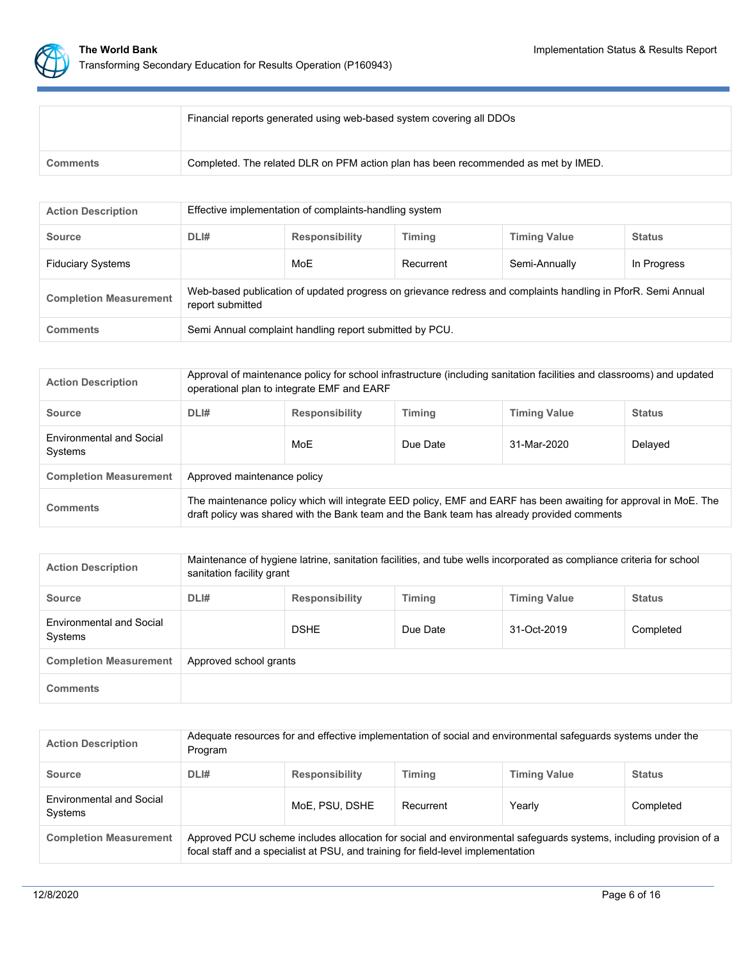

|                 | Financial reports generated using web-based system covering all DDOs               |
|-----------------|------------------------------------------------------------------------------------|
| <b>Comments</b> | Completed. The related DLR on PFM action plan has been recommended as met by IMED. |

| <b>Action Description</b>     | Effective implementation of complaints-handling system                                                                           |                                                                                |           |               |             |  |  |  |
|-------------------------------|----------------------------------------------------------------------------------------------------------------------------------|--------------------------------------------------------------------------------|-----------|---------------|-------------|--|--|--|
| <b>Source</b>                 | DLI#                                                                                                                             | <b>Timing</b><br><b>Responsibility</b><br><b>Timing Value</b><br><b>Status</b> |           |               |             |  |  |  |
| <b>Fiduciary Systems</b>      |                                                                                                                                  | MoE                                                                            | Recurrent | Semi-Annually | In Progress |  |  |  |
| <b>Completion Measurement</b> | Web-based publication of updated progress on grievance redress and complaints handling in PforR. Semi Annual<br>report submitted |                                                                                |           |               |             |  |  |  |
| <b>Comments</b>               | Semi Annual complaint handling report submitted by PCU.                                                                          |                                                                                |           |               |             |  |  |  |

| <b>Action Description</b>                  | Approval of maintenance policy for school infrastructure (including sanitation facilities and classrooms) and updated<br>operational plan to integrate EMF and EARF                                           |                                                                                |          |             |         |  |  |
|--------------------------------------------|---------------------------------------------------------------------------------------------------------------------------------------------------------------------------------------------------------------|--------------------------------------------------------------------------------|----------|-------------|---------|--|--|
| <b>Source</b>                              | DLI#                                                                                                                                                                                                          | <b>Timing</b><br><b>Timing Value</b><br><b>Responsibility</b><br><b>Status</b> |          |             |         |  |  |
| <b>Environmental and Social</b><br>Systems |                                                                                                                                                                                                               | MoE                                                                            | Due Date | 31-Mar-2020 | Delayed |  |  |
| <b>Completion Measurement</b>              | Approved maintenance policy                                                                                                                                                                                   |                                                                                |          |             |         |  |  |
| Comments                                   | The maintenance policy which will integrate EED policy, EMF and EARF has been awaiting for approval in MoE. The<br>draft policy was shared with the Bank team and the Bank team has already provided comments |                                                                                |          |             |         |  |  |

| <b>Action Description</b>           | Maintenance of hygiene latrine, sanitation facilities, and tube wells incorporated as compliance criteria for school<br>sanitation facility grant |                                                                                |          |             |           |  |  |  |
|-------------------------------------|---------------------------------------------------------------------------------------------------------------------------------------------------|--------------------------------------------------------------------------------|----------|-------------|-----------|--|--|--|
| <b>Source</b>                       | DLI#                                                                                                                                              | <b>Timing</b><br><b>Timing Value</b><br><b>Responsibility</b><br><b>Status</b> |          |             |           |  |  |  |
| Environmental and Social<br>Systems |                                                                                                                                                   | <b>DSHE</b>                                                                    | Due Date | 31-Oct-2019 | Completed |  |  |  |
| <b>Completion Measurement</b>       | Approved school grants                                                                                                                            |                                                                                |          |             |           |  |  |  |
| <b>Comments</b>                     |                                                                                                                                                   |                                                                                |          |             |           |  |  |  |

| <b>Action Description</b>                  | Adequate resources for and effective implementation of social and environmental safeguards systems under the<br>Program                                                                               |                                                                                |           |        |           |  |  |  |
|--------------------------------------------|-------------------------------------------------------------------------------------------------------------------------------------------------------------------------------------------------------|--------------------------------------------------------------------------------|-----------|--------|-----------|--|--|--|
| <b>Source</b>                              | DLI#                                                                                                                                                                                                  | <b>Timing</b><br><b>Timing Value</b><br><b>Responsibility</b><br><b>Status</b> |           |        |           |  |  |  |
| <b>Environmental and Social</b><br>Systems |                                                                                                                                                                                                       | MoE. PSU. DSHE                                                                 | Recurrent | Yearly | Completed |  |  |  |
| <b>Completion Measurement</b>              | Approved PCU scheme includes allocation for social and environmental safeguards systems, including provision of a<br>focal staff and a specialist at PSU, and training for field-level implementation |                                                                                |           |        |           |  |  |  |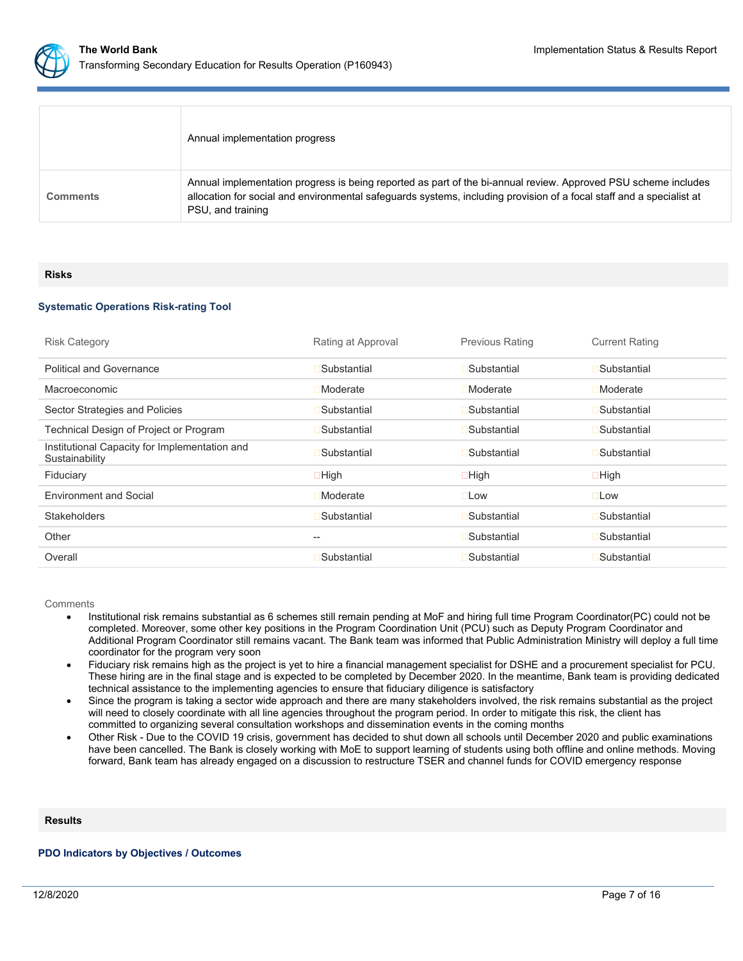

|                 | Annual implementation progress                                                                                                                                                                                                                              |
|-----------------|-------------------------------------------------------------------------------------------------------------------------------------------------------------------------------------------------------------------------------------------------------------|
| <b>Comments</b> | Annual implementation progress is being reported as part of the bi-annual review. Approved PSU scheme includes<br>allocation for social and environmental safeguards systems, including provision of a focal staff and a specialist at<br>PSU, and training |

#### **Risks**

# **Systematic Operations Risk-rating Tool**

| <b>Risk Category</b>                                            | Rating at Approval | <b>Previous Rating</b> | <b>Current Rating</b> |
|-----------------------------------------------------------------|--------------------|------------------------|-----------------------|
| <b>Political and Governance</b>                                 | Substantial        | Substantial            | Substantial           |
| Macroeconomic                                                   | Moderate           | Moderate               | Moderate              |
| Sector Strategies and Policies                                  | Substantial        | Substantial            | Substantial           |
| Technical Design of Project or Program                          | Substantial        | Substantial            | Substantial           |
| Institutional Capacity for Implementation and<br>Sustainability | Substantial        | Substantial            | Substantial           |
| Fiduciary                                                       | $\Box$ High        | $\Box$ High            | $\Box$ High           |
| <b>Environment and Social</b>                                   | Moderate           | $\square$ Low          | $\square$ Low         |
| <b>Stakeholders</b>                                             | Substantial        | Substantial            | Substantial           |
| Other                                                           | --                 | Substantial            | Substantial           |
| Overall                                                         | Substantial        | Substantial            | Substantial           |

**Comments** 

- Institutional risk remains substantial as 6 schemes still remain pending at MoF and hiring full time Program Coordinator(PC) could not be completed. Moreover, some other key positions in the Program Coordination Unit (PCU) such as Deputy Program Coordinator and Additional Program Coordinator still remains vacant. The Bank team was informed that Public Administration Ministry will deploy a full time coordinator for the program very soon
- Fiduciary risk remains high as the project is yet to hire a financial management specialist for DSHE and a procurement specialist for PCU. These hiring are in the final stage and is expected to be completed by December 2020. In the meantime, Bank team is providing dedicated technical assistance to the implementing agencies to ensure that fiduciary diligence is satisfactory
- Since the program is taking a sector wide approach and there are many stakeholders involved, the risk remains substantial as the project will need to closely coordinate with all line agencies throughout the program period. In order to mitigate this risk, the client has committed to organizing several consultation workshops and dissemination events in the coming months
- Other Risk Due to the COVID 19 crisis, government has decided to shut down all schools until December 2020 and public examinations have been cancelled. The Bank is closely working with MoE to support learning of students using both offline and online methods. Moving forward, Bank team has already engaged on a discussion to restructure TSER and channel funds for COVID emergency response

### **Results**

# **PDO Indicators by Objectives / Outcomes**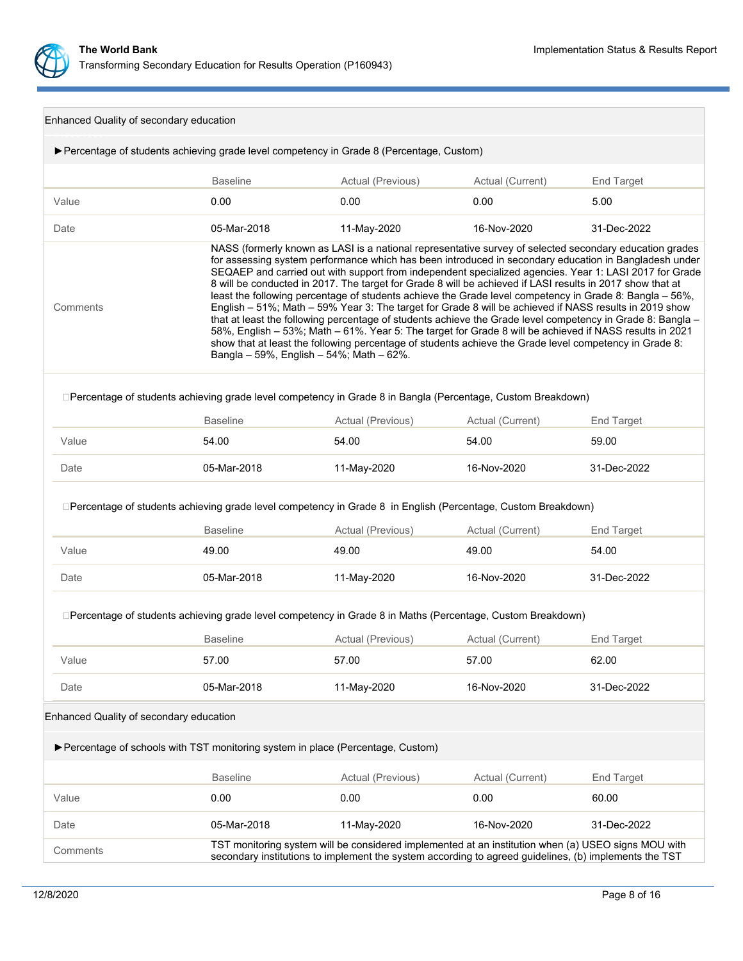

| Enhanced Quality of secondary education |                                                                                                                                 |                                                                                                                                                                                                                                                                                                                                                                                                                                                                                                                                                                                                                                                                                                                                                                                                                                                                                                                                                                                                                                             |                  |                   |  |  |
|-----------------------------------------|---------------------------------------------------------------------------------------------------------------------------------|---------------------------------------------------------------------------------------------------------------------------------------------------------------------------------------------------------------------------------------------------------------------------------------------------------------------------------------------------------------------------------------------------------------------------------------------------------------------------------------------------------------------------------------------------------------------------------------------------------------------------------------------------------------------------------------------------------------------------------------------------------------------------------------------------------------------------------------------------------------------------------------------------------------------------------------------------------------------------------------------------------------------------------------------|------------------|-------------------|--|--|
|                                         | ▶ Percentage of students achieving grade level competency in Grade 8 (Percentage, Custom)                                       |                                                                                                                                                                                                                                                                                                                                                                                                                                                                                                                                                                                                                                                                                                                                                                                                                                                                                                                                                                                                                                             |                  |                   |  |  |
|                                         | <b>Baseline</b>                                                                                                                 | Actual (Previous)                                                                                                                                                                                                                                                                                                                                                                                                                                                                                                                                                                                                                                                                                                                                                                                                                                                                                                                                                                                                                           | Actual (Current) | <b>End Target</b> |  |  |
| Value                                   | 0.00                                                                                                                            | 0.00                                                                                                                                                                                                                                                                                                                                                                                                                                                                                                                                                                                                                                                                                                                                                                                                                                                                                                                                                                                                                                        | 0.00             | 5.00              |  |  |
| Date                                    | 05-Mar-2018                                                                                                                     | 11-May-2020                                                                                                                                                                                                                                                                                                                                                                                                                                                                                                                                                                                                                                                                                                                                                                                                                                                                                                                                                                                                                                 | 16-Nov-2020      | 31-Dec-2022       |  |  |
| Comments                                |                                                                                                                                 | NASS (formerly known as LASI is a national representative survey of selected secondary education grades<br>for assessing system performance which has been introduced in secondary education in Bangladesh under<br>SEQAEP and carried out with support from independent specialized agencies. Year 1: LASI 2017 for Grade<br>8 will be conducted in 2017. The target for Grade 8 will be achieved if LASI results in 2017 show that at<br>least the following percentage of students achieve the Grade level competency in Grade 8: Bangla - 56%,<br>English - 51%; Math - 59% Year 3: The target for Grade 8 will be achieved if NASS results in 2019 show<br>that at least the following percentage of students achieve the Grade level competency in Grade 8: Bangla -<br>58%, English - 53%; Math - 61%. Year 5: The target for Grade 8 will be achieved if NASS results in 2021<br>show that at least the following percentage of students achieve the Grade level competency in Grade 8:<br>Bangla - 59%, English - 54%; Math - 62%. |                  |                   |  |  |
|                                         | □Percentage of students achieving grade level competency in Grade 8 in Bangla (Percentage, Custom Breakdown)<br><b>Baseline</b> | Actual (Previous)                                                                                                                                                                                                                                                                                                                                                                                                                                                                                                                                                                                                                                                                                                                                                                                                                                                                                                                                                                                                                           | Actual (Current) | <b>End Target</b> |  |  |
| Value                                   | 54.00                                                                                                                           | 54.00                                                                                                                                                                                                                                                                                                                                                                                                                                                                                                                                                                                                                                                                                                                                                                                                                                                                                                                                                                                                                                       | 54.00            | 59.00             |  |  |
| Date                                    | 05-Mar-2018                                                                                                                     | 11-May-2020                                                                                                                                                                                                                                                                                                                                                                                                                                                                                                                                                                                                                                                                                                                                                                                                                                                                                                                                                                                                                                 | 16-Nov-2020      | 31-Dec-2022       |  |  |
|                                         | □Percentage of students achieving grade level competency in Grade 8 in English (Percentage, Custom Breakdown)                   |                                                                                                                                                                                                                                                                                                                                                                                                                                                                                                                                                                                                                                                                                                                                                                                                                                                                                                                                                                                                                                             |                  |                   |  |  |
|                                         | <b>Baseline</b>                                                                                                                 | Actual (Previous)                                                                                                                                                                                                                                                                                                                                                                                                                                                                                                                                                                                                                                                                                                                                                                                                                                                                                                                                                                                                                           | Actual (Current) | <b>End Target</b> |  |  |
| Value                                   | 49.00                                                                                                                           | 49.00                                                                                                                                                                                                                                                                                                                                                                                                                                                                                                                                                                                                                                                                                                                                                                                                                                                                                                                                                                                                                                       | 49.00            | 54.00             |  |  |
| Date                                    | 05-Mar-2018                                                                                                                     | 11-May-2020                                                                                                                                                                                                                                                                                                                                                                                                                                                                                                                                                                                                                                                                                                                                                                                                                                                                                                                                                                                                                                 | 16-Nov-2020      | 31-Dec-2022       |  |  |
|                                         | □Percentage of students achieving grade level competency in Grade 8 in Maths (Percentage, Custom Breakdown)                     |                                                                                                                                                                                                                                                                                                                                                                                                                                                                                                                                                                                                                                                                                                                                                                                                                                                                                                                                                                                                                                             |                  |                   |  |  |
|                                         | <b>Baseline</b>                                                                                                                 | Actual (Previous)                                                                                                                                                                                                                                                                                                                                                                                                                                                                                                                                                                                                                                                                                                                                                                                                                                                                                                                                                                                                                           | Actual (Current) | End Target        |  |  |
| Value                                   | 57.00                                                                                                                           | 57.00                                                                                                                                                                                                                                                                                                                                                                                                                                                                                                                                                                                                                                                                                                                                                                                                                                                                                                                                                                                                                                       | 57.00            | 62.00             |  |  |
| Date                                    | 05-Mar-2018                                                                                                                     | 11-May-2020                                                                                                                                                                                                                                                                                                                                                                                                                                                                                                                                                                                                                                                                                                                                                                                                                                                                                                                                                                                                                                 | 16-Nov-2020      | 31-Dec-2022       |  |  |
| Enhanced Quality of secondary education |                                                                                                                                 |                                                                                                                                                                                                                                                                                                                                                                                                                                                                                                                                                                                                                                                                                                                                                                                                                                                                                                                                                                                                                                             |                  |                   |  |  |
|                                         | ▶ Percentage of schools with TST monitoring system in place (Percentage, Custom)                                                |                                                                                                                                                                                                                                                                                                                                                                                                                                                                                                                                                                                                                                                                                                                                                                                                                                                                                                                                                                                                                                             |                  |                   |  |  |
|                                         | <b>Baseline</b>                                                                                                                 | Actual (Previous)                                                                                                                                                                                                                                                                                                                                                                                                                                                                                                                                                                                                                                                                                                                                                                                                                                                                                                                                                                                                                           | Actual (Current) | End Target        |  |  |
| Value                                   | 0.00                                                                                                                            | 0.00                                                                                                                                                                                                                                                                                                                                                                                                                                                                                                                                                                                                                                                                                                                                                                                                                                                                                                                                                                                                                                        | 0.00             | 60.00             |  |  |
| Date                                    | 05-Mar-2018                                                                                                                     | 11-May-2020                                                                                                                                                                                                                                                                                                                                                                                                                                                                                                                                                                                                                                                                                                                                                                                                                                                                                                                                                                                                                                 | 16-Nov-2020      | 31-Dec-2022       |  |  |
| Comments                                |                                                                                                                                 | TST monitoring system will be considered implemented at an institution when (a) USEO signs MOU with<br>secondary institutions to implement the system according to agreed guidelines, (b) implements the TST                                                                                                                                                                                                                                                                                                                                                                                                                                                                                                                                                                                                                                                                                                                                                                                                                                |                  |                   |  |  |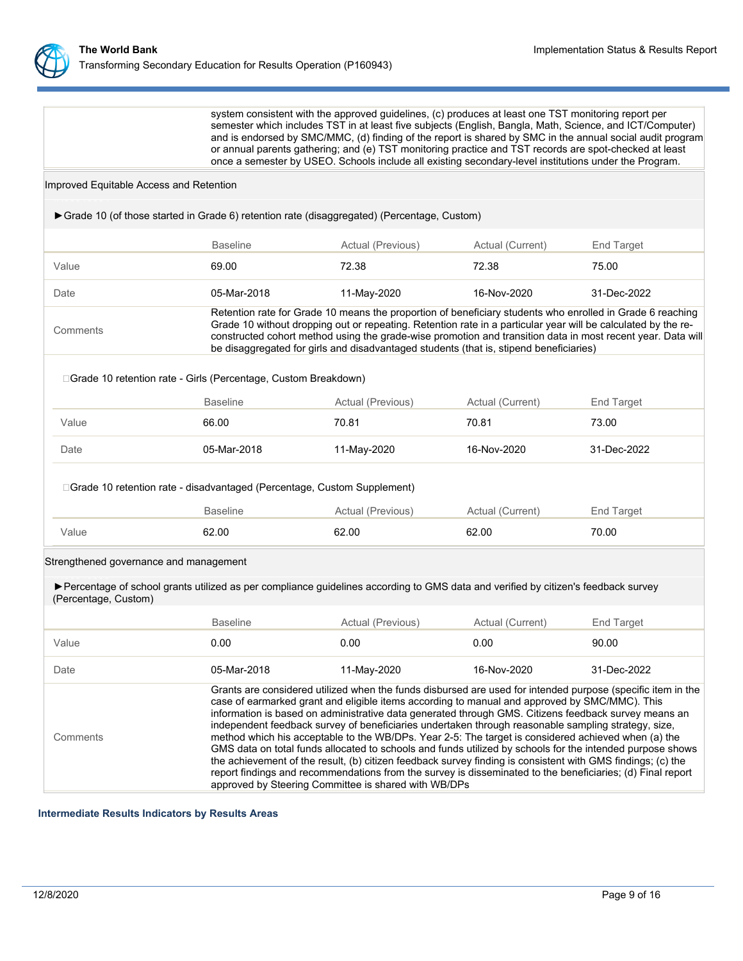

system consistent with the approved guidelines, (c) produces at least one TST monitoring report per semester which includes TST in at least five subjects (English, Bangla, Math, Science, and ICT/Computer) and is endorsed by SMC/MMC, (d) finding of the report is shared by SMC in the annual social audit program or annual parents gathering; and (e) TST monitoring practice and TST records are spot-checked at least once a semester by USEO. Schools include all existing secondary-level institutions under the Program.

#### Improved Equitable Access and Retention

| Grade 10 (of those started in Grade 6) retention rate (disaggregated) (Percentage, Custom)                                                                  |                                                                                                                                                                                                                                                                                                                                                                                                                                                                                                                                                                                                                                                                                                                                                                                                                                                                                                                                      |                                                                                                                                                                                                                                                                                                                                                                                                                                     |                  |             |  |
|-------------------------------------------------------------------------------------------------------------------------------------------------------------|--------------------------------------------------------------------------------------------------------------------------------------------------------------------------------------------------------------------------------------------------------------------------------------------------------------------------------------------------------------------------------------------------------------------------------------------------------------------------------------------------------------------------------------------------------------------------------------------------------------------------------------------------------------------------------------------------------------------------------------------------------------------------------------------------------------------------------------------------------------------------------------------------------------------------------------|-------------------------------------------------------------------------------------------------------------------------------------------------------------------------------------------------------------------------------------------------------------------------------------------------------------------------------------------------------------------------------------------------------------------------------------|------------------|-------------|--|
|                                                                                                                                                             | <b>Baseline</b>                                                                                                                                                                                                                                                                                                                                                                                                                                                                                                                                                                                                                                                                                                                                                                                                                                                                                                                      | Actual (Previous)                                                                                                                                                                                                                                                                                                                                                                                                                   | Actual (Current) | End Target  |  |
| Value                                                                                                                                                       | 69.00                                                                                                                                                                                                                                                                                                                                                                                                                                                                                                                                                                                                                                                                                                                                                                                                                                                                                                                                | 72.38                                                                                                                                                                                                                                                                                                                                                                                                                               | 72.38            | 75.00       |  |
| Date                                                                                                                                                        | 05-Mar-2018                                                                                                                                                                                                                                                                                                                                                                                                                                                                                                                                                                                                                                                                                                                                                                                                                                                                                                                          | 11-May-2020                                                                                                                                                                                                                                                                                                                                                                                                                         | 16-Nov-2020      | 31-Dec-2022 |  |
| Comments                                                                                                                                                    |                                                                                                                                                                                                                                                                                                                                                                                                                                                                                                                                                                                                                                                                                                                                                                                                                                                                                                                                      | Retention rate for Grade 10 means the proportion of beneficiary students who enrolled in Grade 6 reaching<br>Grade 10 without dropping out or repeating. Retention rate in a particular year will be calculated by the re-<br>constructed cohort method using the grade-wise promotion and transition data in most recent year. Data will<br>be disaggregated for girls and disadvantaged students (that is, stipend beneficiaries) |                  |             |  |
| □ Grade 10 retention rate - Girls (Percentage, Custom Breakdown)                                                                                            |                                                                                                                                                                                                                                                                                                                                                                                                                                                                                                                                                                                                                                                                                                                                                                                                                                                                                                                                      |                                                                                                                                                                                                                                                                                                                                                                                                                                     |                  |             |  |
|                                                                                                                                                             | <b>Baseline</b>                                                                                                                                                                                                                                                                                                                                                                                                                                                                                                                                                                                                                                                                                                                                                                                                                                                                                                                      | Actual (Previous)                                                                                                                                                                                                                                                                                                                                                                                                                   | Actual (Current) | End Target  |  |
| Value                                                                                                                                                       | 66.00                                                                                                                                                                                                                                                                                                                                                                                                                                                                                                                                                                                                                                                                                                                                                                                                                                                                                                                                | 70.81                                                                                                                                                                                                                                                                                                                                                                                                                               | 70.81            | 73.00       |  |
| Date                                                                                                                                                        | 05-Mar-2018                                                                                                                                                                                                                                                                                                                                                                                                                                                                                                                                                                                                                                                                                                                                                                                                                                                                                                                          | 11-May-2020                                                                                                                                                                                                                                                                                                                                                                                                                         | 16-Nov-2020      | 31-Dec-2022 |  |
| □ Grade 10 retention rate - disadvantaged (Percentage, Custom Supplement)                                                                                   | <b>Baseline</b>                                                                                                                                                                                                                                                                                                                                                                                                                                                                                                                                                                                                                                                                                                                                                                                                                                                                                                                      | Actual (Previous)                                                                                                                                                                                                                                                                                                                                                                                                                   | Actual (Current) | End Target  |  |
| Value                                                                                                                                                       | 62.00                                                                                                                                                                                                                                                                                                                                                                                                                                                                                                                                                                                                                                                                                                                                                                                                                                                                                                                                | 62.00                                                                                                                                                                                                                                                                                                                                                                                                                               | 62.00            | 70.00       |  |
| Strengthened governance and management                                                                                                                      |                                                                                                                                                                                                                                                                                                                                                                                                                                                                                                                                                                                                                                                                                                                                                                                                                                                                                                                                      |                                                                                                                                                                                                                                                                                                                                                                                                                                     |                  |             |  |
| ▶ Percentage of school grants utilized as per compliance guidelines according to GMS data and verified by citizen's feedback survey<br>(Percentage, Custom) |                                                                                                                                                                                                                                                                                                                                                                                                                                                                                                                                                                                                                                                                                                                                                                                                                                                                                                                                      |                                                                                                                                                                                                                                                                                                                                                                                                                                     |                  |             |  |
|                                                                                                                                                             | <b>Baseline</b>                                                                                                                                                                                                                                                                                                                                                                                                                                                                                                                                                                                                                                                                                                                                                                                                                                                                                                                      | Actual (Previous)                                                                                                                                                                                                                                                                                                                                                                                                                   | Actual (Current) | End Target  |  |
| Value                                                                                                                                                       | 0.00                                                                                                                                                                                                                                                                                                                                                                                                                                                                                                                                                                                                                                                                                                                                                                                                                                                                                                                                 | 0.00                                                                                                                                                                                                                                                                                                                                                                                                                                | 0.00             | 90.00       |  |
| Date                                                                                                                                                        | 05-Mar-2018                                                                                                                                                                                                                                                                                                                                                                                                                                                                                                                                                                                                                                                                                                                                                                                                                                                                                                                          | 11-May-2020                                                                                                                                                                                                                                                                                                                                                                                                                         | 16-Nov-2020      | 31-Dec-2022 |  |
| Comments                                                                                                                                                    | Grants are considered utilized when the funds disbursed are used for intended purpose (specific item in the<br>case of earmarked grant and eligible items according to manual and approved by SMC/MMC). This<br>information is based on administrative data generated through GMS. Citizens feedback survey means an<br>independent feedback survey of beneficiaries undertaken through reasonable sampling strategy, size,<br>method which his acceptable to the WB/DPs. Year 2-5: The target is considered achieved when (a) the<br>GMS data on total funds allocated to schools and funds utilized by schools for the intended purpose shows<br>the achievement of the result, (b) citizen feedback survey finding is consistent with GMS findings; (c) the<br>report findings and recommendations from the survey is disseminated to the beneficiaries; (d) Final report<br>approved by Steering Committee is shared with WB/DPs |                                                                                                                                                                                                                                                                                                                                                                                                                                     |                  |             |  |

**Intermediate Results Indicators by Results Areas**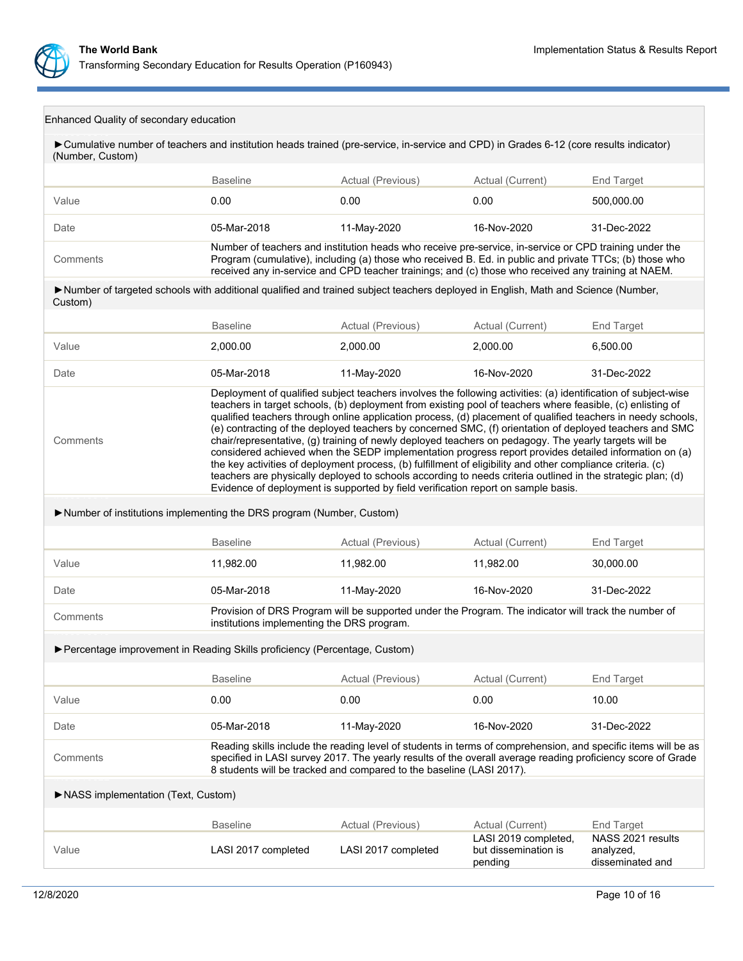

|  | Enhanced Quality of secondary education |  |
|--|-----------------------------------------|--|
|  |                                         |  |

| Cumulative number of teachers and institution heads trained (pre-service, in-service and CPD) in Grades 6-12 (core results indicator)<br>(Number, Custom) |                                                                                                                                                                                                                                                                                                                                                                                                                                                                                                                                                                                                                                                                                                                                                                                                                                                                                                                                                                                              |                                                                                                                                                                                                                                                                                                                          |                                                         |                                                    |  |
|-----------------------------------------------------------------------------------------------------------------------------------------------------------|----------------------------------------------------------------------------------------------------------------------------------------------------------------------------------------------------------------------------------------------------------------------------------------------------------------------------------------------------------------------------------------------------------------------------------------------------------------------------------------------------------------------------------------------------------------------------------------------------------------------------------------------------------------------------------------------------------------------------------------------------------------------------------------------------------------------------------------------------------------------------------------------------------------------------------------------------------------------------------------------|--------------------------------------------------------------------------------------------------------------------------------------------------------------------------------------------------------------------------------------------------------------------------------------------------------------------------|---------------------------------------------------------|----------------------------------------------------|--|
|                                                                                                                                                           | <b>Baseline</b>                                                                                                                                                                                                                                                                                                                                                                                                                                                                                                                                                                                                                                                                                                                                                                                                                                                                                                                                                                              | Actual (Previous)                                                                                                                                                                                                                                                                                                        | Actual (Current)                                        | End Target                                         |  |
| Value                                                                                                                                                     | 0.00                                                                                                                                                                                                                                                                                                                                                                                                                                                                                                                                                                                                                                                                                                                                                                                                                                                                                                                                                                                         | 0.00                                                                                                                                                                                                                                                                                                                     | 0.00                                                    | 500,000.00                                         |  |
| Date                                                                                                                                                      | 05-Mar-2018                                                                                                                                                                                                                                                                                                                                                                                                                                                                                                                                                                                                                                                                                                                                                                                                                                                                                                                                                                                  | 11-May-2020                                                                                                                                                                                                                                                                                                              | 16-Nov-2020                                             | 31-Dec-2022                                        |  |
| Comments                                                                                                                                                  |                                                                                                                                                                                                                                                                                                                                                                                                                                                                                                                                                                                                                                                                                                                                                                                                                                                                                                                                                                                              | Number of teachers and institution heads who receive pre-service, in-service or CPD training under the<br>Program (cumulative), including (a) those who received B. Ed. in public and private TTCs; (b) those who<br>received any in-service and CPD teacher trainings; and (c) those who received any training at NAEM. |                                                         |                                                    |  |
| >Number of targeted schools with additional qualified and trained subject teachers deployed in English, Math and Science (Number,<br>Custom)              |                                                                                                                                                                                                                                                                                                                                                                                                                                                                                                                                                                                                                                                                                                                                                                                                                                                                                                                                                                                              |                                                                                                                                                                                                                                                                                                                          |                                                         |                                                    |  |
|                                                                                                                                                           | <b>Baseline</b>                                                                                                                                                                                                                                                                                                                                                                                                                                                                                                                                                                                                                                                                                                                                                                                                                                                                                                                                                                              | Actual (Previous)                                                                                                                                                                                                                                                                                                        | Actual (Current)                                        | End Target                                         |  |
| Value                                                                                                                                                     | 2,000.00                                                                                                                                                                                                                                                                                                                                                                                                                                                                                                                                                                                                                                                                                                                                                                                                                                                                                                                                                                                     | 2,000.00                                                                                                                                                                                                                                                                                                                 | 2,000.00                                                | 6,500.00                                           |  |
| Date                                                                                                                                                      | 05-Mar-2018                                                                                                                                                                                                                                                                                                                                                                                                                                                                                                                                                                                                                                                                                                                                                                                                                                                                                                                                                                                  | 11-May-2020                                                                                                                                                                                                                                                                                                              | 16-Nov-2020                                             | 31-Dec-2022                                        |  |
| Comments                                                                                                                                                  | Deployment of qualified subject teachers involves the following activities: (a) identification of subject-wise<br>teachers in target schools, (b) deployment from existing pool of teachers where feasible, (c) enlisting of<br>qualified teachers through online application process, (d) placement of qualified teachers in needy schools,<br>(e) contracting of the deployed teachers by concerned SMC, (f) orientation of deployed teachers and SMC<br>chair/representative, (g) training of newly deployed teachers on pedagogy. The yearly targets will be<br>considered achieved when the SEDP implementation progress report provides detailed information on (a)<br>the key activities of deployment process, (b) fulfillment of eligibility and other compliance criteria. (c)<br>teachers are physically deployed to schools according to needs criteria outlined in the strategic plan; (d)<br>Evidence of deployment is supported by field verification report on sample basis. |                                                                                                                                                                                                                                                                                                                          |                                                         |                                                    |  |
| Number of institutions implementing the DRS program (Number, Custom)                                                                                      |                                                                                                                                                                                                                                                                                                                                                                                                                                                                                                                                                                                                                                                                                                                                                                                                                                                                                                                                                                                              |                                                                                                                                                                                                                                                                                                                          |                                                         |                                                    |  |
|                                                                                                                                                           | <b>Baseline</b>                                                                                                                                                                                                                                                                                                                                                                                                                                                                                                                                                                                                                                                                                                                                                                                                                                                                                                                                                                              | Actual (Previous)                                                                                                                                                                                                                                                                                                        | Actual (Current)                                        | <b>End Target</b>                                  |  |
| Value                                                                                                                                                     | 11,982.00                                                                                                                                                                                                                                                                                                                                                                                                                                                                                                                                                                                                                                                                                                                                                                                                                                                                                                                                                                                    | 11,982.00                                                                                                                                                                                                                                                                                                                | 11,982.00                                               | 30,000.00                                          |  |
| Date                                                                                                                                                      | 05-Mar-2018                                                                                                                                                                                                                                                                                                                                                                                                                                                                                                                                                                                                                                                                                                                                                                                                                                                                                                                                                                                  | 11-May-2020                                                                                                                                                                                                                                                                                                              | 16-Nov-2020                                             | 31-Dec-2022                                        |  |
| Comments                                                                                                                                                  | institutions implementing the DRS program.                                                                                                                                                                                                                                                                                                                                                                                                                                                                                                                                                                                                                                                                                                                                                                                                                                                                                                                                                   | Provision of DRS Program will be supported under the Program. The indicator will track the number of                                                                                                                                                                                                                     |                                                         |                                                    |  |
| ▶ Percentage improvement in Reading Skills proficiency (Percentage, Custom)                                                                               |                                                                                                                                                                                                                                                                                                                                                                                                                                                                                                                                                                                                                                                                                                                                                                                                                                                                                                                                                                                              |                                                                                                                                                                                                                                                                                                                          |                                                         |                                                    |  |
|                                                                                                                                                           | <b>Baseline</b>                                                                                                                                                                                                                                                                                                                                                                                                                                                                                                                                                                                                                                                                                                                                                                                                                                                                                                                                                                              | Actual (Previous)                                                                                                                                                                                                                                                                                                        | Actual (Current)                                        | <b>End Target</b>                                  |  |
| Value                                                                                                                                                     | 0.00                                                                                                                                                                                                                                                                                                                                                                                                                                                                                                                                                                                                                                                                                                                                                                                                                                                                                                                                                                                         | 0.00                                                                                                                                                                                                                                                                                                                     | 0.00                                                    | 10.00                                              |  |
| Date                                                                                                                                                      | 05-Mar-2018                                                                                                                                                                                                                                                                                                                                                                                                                                                                                                                                                                                                                                                                                                                                                                                                                                                                                                                                                                                  | 11-May-2020                                                                                                                                                                                                                                                                                                              | 16-Nov-2020                                             | 31-Dec-2022                                        |  |
| Comments                                                                                                                                                  |                                                                                                                                                                                                                                                                                                                                                                                                                                                                                                                                                                                                                                                                                                                                                                                                                                                                                                                                                                                              | Reading skills include the reading level of students in terms of comprehension, and specific items will be as<br>specified in LASI survey 2017. The yearly results of the overall average reading proficiency score of Grade<br>8 students will be tracked and compared to the baseline (LASI 2017).                     |                                                         |                                                    |  |
| NASS implementation (Text, Custom)                                                                                                                        |                                                                                                                                                                                                                                                                                                                                                                                                                                                                                                                                                                                                                                                                                                                                                                                                                                                                                                                                                                                              |                                                                                                                                                                                                                                                                                                                          |                                                         |                                                    |  |
|                                                                                                                                                           | <b>Baseline</b>                                                                                                                                                                                                                                                                                                                                                                                                                                                                                                                                                                                                                                                                                                                                                                                                                                                                                                                                                                              | Actual (Previous)                                                                                                                                                                                                                                                                                                        | Actual (Current)                                        | <b>End Target</b>                                  |  |
| Value                                                                                                                                                     | LASI 2017 completed                                                                                                                                                                                                                                                                                                                                                                                                                                                                                                                                                                                                                                                                                                                                                                                                                                                                                                                                                                          | LASI 2017 completed                                                                                                                                                                                                                                                                                                      | LASI 2019 completed,<br>but dissemination is<br>pending | NASS 2021 results<br>analyzed,<br>disseminated and |  |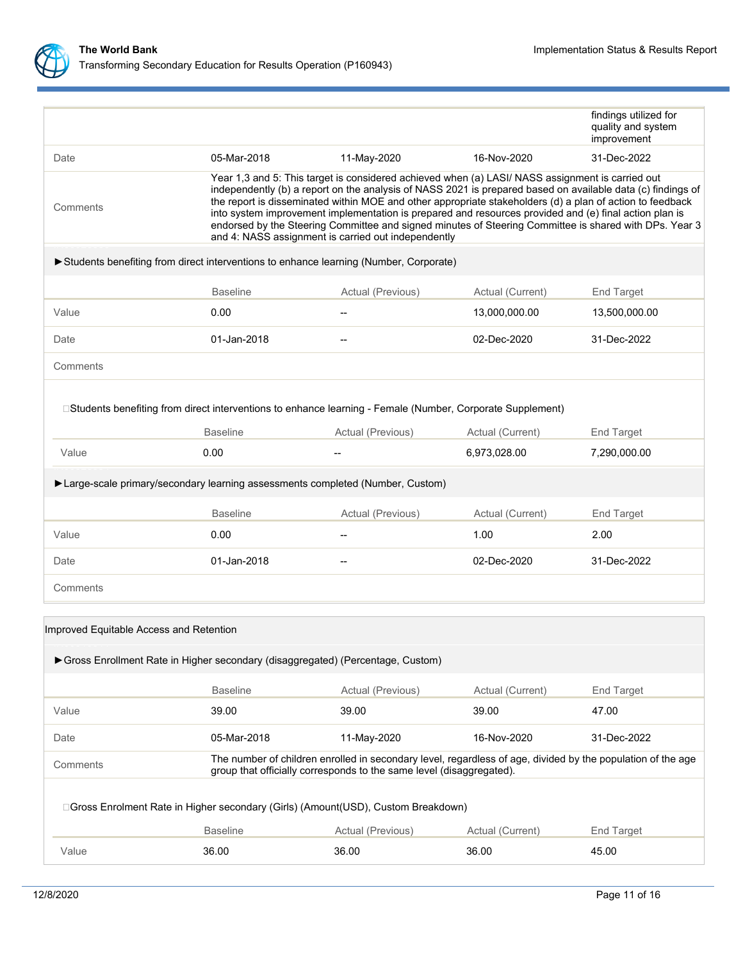

|                                         | □ Gross Enrolment Rate in Higher secondary (Girls) (Amount(USD), Custom Breakdown)<br><b>Baseline</b>                         | Actual (Previous)                                                                                                                                                                                                                                                                                                                                                                                                                                                                                                                                                                                       | Actual (Current) | <b>End Target</b>                 |  |  |  |  |
|-----------------------------------------|-------------------------------------------------------------------------------------------------------------------------------|---------------------------------------------------------------------------------------------------------------------------------------------------------------------------------------------------------------------------------------------------------------------------------------------------------------------------------------------------------------------------------------------------------------------------------------------------------------------------------------------------------------------------------------------------------------------------------------------------------|------------------|-----------------------------------|--|--|--|--|
| Comments                                |                                                                                                                               | group that officially corresponds to the same level (disaggregated).                                                                                                                                                                                                                                                                                                                                                                                                                                                                                                                                    |                  |                                   |  |  |  |  |
| Date                                    | 05-Mar-2018                                                                                                                   | 11-May-2020<br>The number of children enrolled in secondary level, regardless of age, divided by the population of the age                                                                                                                                                                                                                                                                                                                                                                                                                                                                              | 16-Nov-2020      | 31-Dec-2022                       |  |  |  |  |
| Value                                   | 39.00                                                                                                                         | 39.00                                                                                                                                                                                                                                                                                                                                                                                                                                                                                                                                                                                                   | 39.00            | 47.00                             |  |  |  |  |
|                                         | <b>Baseline</b>                                                                                                               | Actual (Previous)                                                                                                                                                                                                                                                                                                                                                                                                                                                                                                                                                                                       | Actual (Current) | End Target                        |  |  |  |  |
| Improved Equitable Access and Retention | Gross Enrollment Rate in Higher secondary (disaggregated) (Percentage, Custom)                                                |                                                                                                                                                                                                                                                                                                                                                                                                                                                                                                                                                                                                         |                  |                                   |  |  |  |  |
|                                         |                                                                                                                               |                                                                                                                                                                                                                                                                                                                                                                                                                                                                                                                                                                                                         |                  |                                   |  |  |  |  |
| Comments                                |                                                                                                                               |                                                                                                                                                                                                                                                                                                                                                                                                                                                                                                                                                                                                         |                  |                                   |  |  |  |  |
| Date                                    | 01-Jan-2018                                                                                                                   |                                                                                                                                                                                                                                                                                                                                                                                                                                                                                                                                                                                                         | 02-Dec-2020      | 31-Dec-2022                       |  |  |  |  |
| Value                                   | 0.00                                                                                                                          |                                                                                                                                                                                                                                                                                                                                                                                                                                                                                                                                                                                                         | 1.00             | 2.00                              |  |  |  |  |
|                                         | <b>Baseline</b>                                                                                                               | Actual (Previous)                                                                                                                                                                                                                                                                                                                                                                                                                                                                                                                                                                                       | Actual (Current) | End Target                        |  |  |  |  |
|                                         | ► Large-scale primary/secondary learning assessments completed (Number, Custom)                                               |                                                                                                                                                                                                                                                                                                                                                                                                                                                                                                                                                                                                         |                  |                                   |  |  |  |  |
| Value                                   | 0.00                                                                                                                          | $-$                                                                                                                                                                                                                                                                                                                                                                                                                                                                                                                                                                                                     | 6,973,028.00     | 7,290,000.00                      |  |  |  |  |
|                                         | □Students benefiting from direct interventions to enhance learning - Female (Number, Corporate Supplement)<br><b>Baseline</b> | Actual (Previous)                                                                                                                                                                                                                                                                                                                                                                                                                                                                                                                                                                                       | Actual (Current) | <b>End Target</b>                 |  |  |  |  |
| Comments                                |                                                                                                                               |                                                                                                                                                                                                                                                                                                                                                                                                                                                                                                                                                                                                         |                  |                                   |  |  |  |  |
| Date                                    | 01-Jan-2018                                                                                                                   |                                                                                                                                                                                                                                                                                                                                                                                                                                                                                                                                                                                                         | 02-Dec-2020      | 31-Dec-2022                       |  |  |  |  |
| Value                                   | 0.00                                                                                                                          |                                                                                                                                                                                                                                                                                                                                                                                                                                                                                                                                                                                                         | 13,000,000.00    | 13,500,000.00                     |  |  |  |  |
|                                         | <b>Baseline</b>                                                                                                               | Actual (Previous)                                                                                                                                                                                                                                                                                                                                                                                                                                                                                                                                                                                       | Actual (Current) | End Target                        |  |  |  |  |
|                                         | Students benefiting from direct interventions to enhance learning (Number, Corporate)                                         |                                                                                                                                                                                                                                                                                                                                                                                                                                                                                                                                                                                                         |                  |                                   |  |  |  |  |
| Comments                                |                                                                                                                               | Year 1,3 and 5: This target is considered achieved when (a) LASI/ NASS assignment is carried out<br>independently (b) a report on the analysis of NASS 2021 is prepared based on available data (c) findings of<br>the report is disseminated within MOE and other appropriate stakeholders (d) a plan of action to feedback<br>into system improvement implementation is prepared and resources provided and (e) final action plan is<br>endorsed by the Steering Committee and signed minutes of Steering Committee is shared with DPs. Year 3<br>and 4: NASS assignment is carried out independently |                  |                                   |  |  |  |  |
| Date                                    | 05-Mar-2018                                                                                                                   | 11-May-2020                                                                                                                                                                                                                                                                                                                                                                                                                                                                                                                                                                                             | 16-Nov-2020      | 31-Dec-2022                       |  |  |  |  |
|                                         |                                                                                                                               |                                                                                                                                                                                                                                                                                                                                                                                                                                                                                                                                                                                                         |                  | quality and system<br>improvement |  |  |  |  |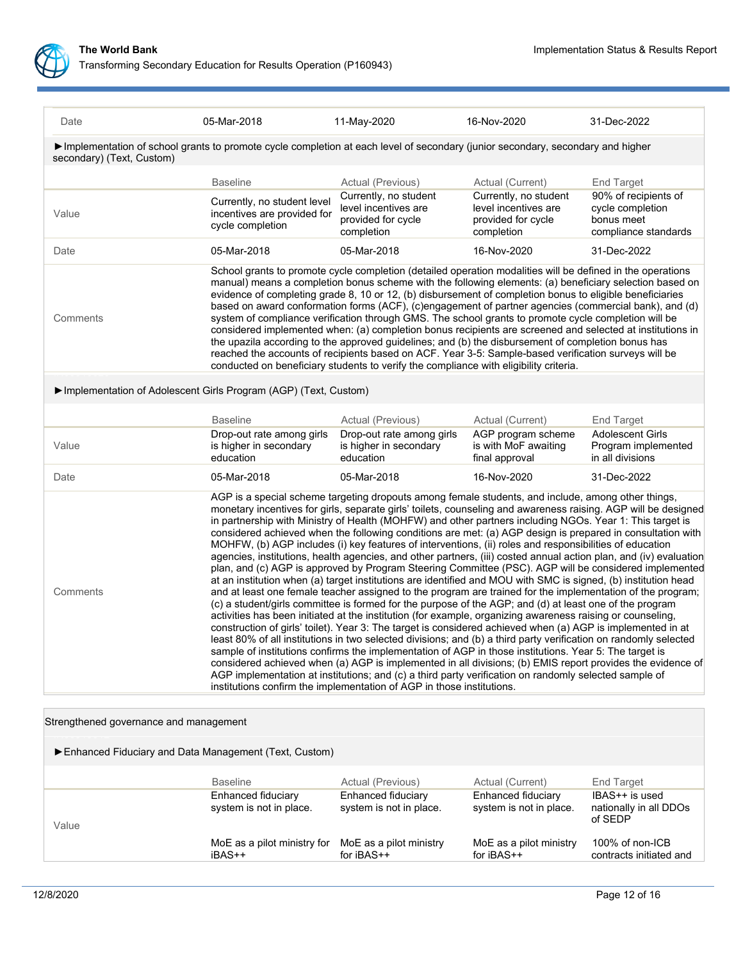

|                                                                                                                                                                                                                                                                                                                                                                                                                                                                                                                                                                                                                                                                                                                                                                                                                                                                               |                                                          |                                                                                                                                      | 31-Dec-2022                                                                                                                                                                                                                                                                                                                                                                                                                                                                                                                                                                                                                                                                                                                                                                                                                                                                                                                                                                                                                                                                                                                                                                                                                                                                                                                                                                                                                                                                                                                                                                                                                                                                                                                                                                                                                                                                                                                                                                                                                                                                                                                                                                            |  |
|-------------------------------------------------------------------------------------------------------------------------------------------------------------------------------------------------------------------------------------------------------------------------------------------------------------------------------------------------------------------------------------------------------------------------------------------------------------------------------------------------------------------------------------------------------------------------------------------------------------------------------------------------------------------------------------------------------------------------------------------------------------------------------------------------------------------------------------------------------------------------------|----------------------------------------------------------|--------------------------------------------------------------------------------------------------------------------------------------|----------------------------------------------------------------------------------------------------------------------------------------------------------------------------------------------------------------------------------------------------------------------------------------------------------------------------------------------------------------------------------------------------------------------------------------------------------------------------------------------------------------------------------------------------------------------------------------------------------------------------------------------------------------------------------------------------------------------------------------------------------------------------------------------------------------------------------------------------------------------------------------------------------------------------------------------------------------------------------------------------------------------------------------------------------------------------------------------------------------------------------------------------------------------------------------------------------------------------------------------------------------------------------------------------------------------------------------------------------------------------------------------------------------------------------------------------------------------------------------------------------------------------------------------------------------------------------------------------------------------------------------------------------------------------------------------------------------------------------------------------------------------------------------------------------------------------------------------------------------------------------------------------------------------------------------------------------------------------------------------------------------------------------------------------------------------------------------------------------------------------------------------------------------------------------------|--|
|                                                                                                                                                                                                                                                                                                                                                                                                                                                                                                                                                                                                                                                                                                                                                                                                                                                                               |                                                          |                                                                                                                                      |                                                                                                                                                                                                                                                                                                                                                                                                                                                                                                                                                                                                                                                                                                                                                                                                                                                                                                                                                                                                                                                                                                                                                                                                                                                                                                                                                                                                                                                                                                                                                                                                                                                                                                                                                                                                                                                                                                                                                                                                                                                                                                                                                                                        |  |
|                                                                                                                                                                                                                                                                                                                                                                                                                                                                                                                                                                                                                                                                                                                                                                                                                                                                               |                                                          |                                                                                                                                      |                                                                                                                                                                                                                                                                                                                                                                                                                                                                                                                                                                                                                                                                                                                                                                                                                                                                                                                                                                                                                                                                                                                                                                                                                                                                                                                                                                                                                                                                                                                                                                                                                                                                                                                                                                                                                                                                                                                                                                                                                                                                                                                                                                                        |  |
| <b>Baseline</b>                                                                                                                                                                                                                                                                                                                                                                                                                                                                                                                                                                                                                                                                                                                                                                                                                                                               | Actual (Previous)                                        | Actual (Current)                                                                                                                     | <b>End Target</b>                                                                                                                                                                                                                                                                                                                                                                                                                                                                                                                                                                                                                                                                                                                                                                                                                                                                                                                                                                                                                                                                                                                                                                                                                                                                                                                                                                                                                                                                                                                                                                                                                                                                                                                                                                                                                                                                                                                                                                                                                                                                                                                                                                      |  |
| Currently, no student level<br>incentives are provided for<br>cycle completion                                                                                                                                                                                                                                                                                                                                                                                                                                                                                                                                                                                                                                                                                                                                                                                                | level incentives are<br>provided for cycle<br>completion | level incentives are<br>provided for cycle<br>completion                                                                             | 90% of recipients of<br>cycle completion<br>bonus meet<br>compliance standards                                                                                                                                                                                                                                                                                                                                                                                                                                                                                                                                                                                                                                                                                                                                                                                                                                                                                                                                                                                                                                                                                                                                                                                                                                                                                                                                                                                                                                                                                                                                                                                                                                                                                                                                                                                                                                                                                                                                                                                                                                                                                                         |  |
| 05-Mar-2018                                                                                                                                                                                                                                                                                                                                                                                                                                                                                                                                                                                                                                                                                                                                                                                                                                                                   | 05-Mar-2018                                              | 16-Nov-2020                                                                                                                          | 31-Dec-2022                                                                                                                                                                                                                                                                                                                                                                                                                                                                                                                                                                                                                                                                                                                                                                                                                                                                                                                                                                                                                                                                                                                                                                                                                                                                                                                                                                                                                                                                                                                                                                                                                                                                                                                                                                                                                                                                                                                                                                                                                                                                                                                                                                            |  |
| School grants to promote cycle completion (detailed operation modalities will be defined in the operations<br>manual) means a completion bonus scheme with the following elements: (a) beneficiary selection based on<br>evidence of completing grade 8, 10 or 12, (b) disbursement of completion bonus to eligible beneficiaries<br>based on award conformation forms (ACF), (c)engagement of partner agencies (commercial bank), and (d)<br>system of compliance verification through GMS. The school grants to promote cycle completion will be<br>considered implemented when: (a) completion bonus recipients are screened and selected at institutions in<br>the upazila according to the approved guidelines; and (b) the disbursement of completion bonus has<br>reached the accounts of recipients based on ACF. Year 3-5: Sample-based verification surveys will be |                                                          |                                                                                                                                      |                                                                                                                                                                                                                                                                                                                                                                                                                                                                                                                                                                                                                                                                                                                                                                                                                                                                                                                                                                                                                                                                                                                                                                                                                                                                                                                                                                                                                                                                                                                                                                                                                                                                                                                                                                                                                                                                                                                                                                                                                                                                                                                                                                                        |  |
|                                                                                                                                                                                                                                                                                                                                                                                                                                                                                                                                                                                                                                                                                                                                                                                                                                                                               |                                                          |                                                                                                                                      |                                                                                                                                                                                                                                                                                                                                                                                                                                                                                                                                                                                                                                                                                                                                                                                                                                                                                                                                                                                                                                                                                                                                                                                                                                                                                                                                                                                                                                                                                                                                                                                                                                                                                                                                                                                                                                                                                                                                                                                                                                                                                                                                                                                        |  |
| <b>Baseline</b>                                                                                                                                                                                                                                                                                                                                                                                                                                                                                                                                                                                                                                                                                                                                                                                                                                                               | Actual (Previous)                                        | Actual (Current)                                                                                                                     | <b>End Target</b>                                                                                                                                                                                                                                                                                                                                                                                                                                                                                                                                                                                                                                                                                                                                                                                                                                                                                                                                                                                                                                                                                                                                                                                                                                                                                                                                                                                                                                                                                                                                                                                                                                                                                                                                                                                                                                                                                                                                                                                                                                                                                                                                                                      |  |
| is higher in secondary<br>education                                                                                                                                                                                                                                                                                                                                                                                                                                                                                                                                                                                                                                                                                                                                                                                                                                           | is higher in secondary<br>education                      | is with MoF awaiting<br>final approval                                                                                               | <b>Adolescent Girls</b><br>Program implemented<br>in all divisions                                                                                                                                                                                                                                                                                                                                                                                                                                                                                                                                                                                                                                                                                                                                                                                                                                                                                                                                                                                                                                                                                                                                                                                                                                                                                                                                                                                                                                                                                                                                                                                                                                                                                                                                                                                                                                                                                                                                                                                                                                                                                                                     |  |
| 05-Mar-2018                                                                                                                                                                                                                                                                                                                                                                                                                                                                                                                                                                                                                                                                                                                                                                                                                                                                   | 05-Mar-2018                                              | 16-Nov-2020                                                                                                                          | 31-Dec-2022                                                                                                                                                                                                                                                                                                                                                                                                                                                                                                                                                                                                                                                                                                                                                                                                                                                                                                                                                                                                                                                                                                                                                                                                                                                                                                                                                                                                                                                                                                                                                                                                                                                                                                                                                                                                                                                                                                                                                                                                                                                                                                                                                                            |  |
|                                                                                                                                                                                                                                                                                                                                                                                                                                                                                                                                                                                                                                                                                                                                                                                                                                                                               |                                                          |                                                                                                                                      |                                                                                                                                                                                                                                                                                                                                                                                                                                                                                                                                                                                                                                                                                                                                                                                                                                                                                                                                                                                                                                                                                                                                                                                                                                                                                                                                                                                                                                                                                                                                                                                                                                                                                                                                                                                                                                                                                                                                                                                                                                                                                                                                                                                        |  |
|                                                                                                                                                                                                                                                                                                                                                                                                                                                                                                                                                                                                                                                                                                                                                                                                                                                                               | 05-Mar-2018<br>Drop-out rate among girls                 | 11-May-2020<br>Currently, no student<br>Implementation of Adolescent Girls Program (AGP) (Text, Custom)<br>Drop-out rate among girls | 16-Nov-2020<br>Implementation of school grants to promote cycle completion at each level of secondary (junior secondary, secondary and higher<br>Currently, no student<br>conducted on beneficiary students to verify the compliance with eligibility criteria.<br>AGP program scheme<br>AGP is a special scheme targeting dropouts among female students, and include, among other things,<br>monetary incentives for girls, separate girls' toilets, counseling and awareness raising. AGP will be designed<br>in partnership with Ministry of Health (MOHFW) and other partners including NGOs. Year 1: This target is<br>considered achieved when the following conditions are met: (a) AGP design is prepared in consultation with<br>MOHFW, (b) AGP includes (i) key features of interventions, (ii) roles and responsibilities of education<br>agencies, institutions, health agencies, and other partners, (iii) costed annual action plan, and (iv) evaluation<br>plan, and (c) AGP is approved by Program Steering Committee (PSC). AGP will be considered implemented<br>at an institution when (a) target institutions are identified and MOU with SMC is signed, (b) institution head<br>and at least one female teacher assigned to the program are trained for the implementation of the program;<br>(c) a student/girls committee is formed for the purpose of the AGP; and (d) at least one of the program<br>activities has been initiated at the institution (for example, organizing awareness raising or counseling,<br>construction of girls' toilet). Year 3: The target is considered achieved when (a) AGP is implemented in at<br>least 80% of all institutions in two selected divisions; and (b) a third party verification on randomly selected<br>sample of institutions confirms the implementation of AGP in those institutions. Year 5: The target is<br>considered achieved when (a) AGP is implemented in all divisions; (b) EMIS report provides the evidence of<br>AGP implementation at institutions; and (c) a third party verification on randomly selected sample of<br>institutions confirm the implementation of AGP in those institutions. |  |

| Strengthened governance and management                |                                               |                                               |                                               |                                                     |
|-------------------------------------------------------|-----------------------------------------------|-----------------------------------------------|-----------------------------------------------|-----------------------------------------------------|
| Enhanced Fiduciary and Data Management (Text, Custom) |                                               |                                               |                                               |                                                     |
|                                                       | <b>Baseline</b>                               | Actual (Previous)                             | Actual (Current)                              | End Target                                          |
| Value                                                 | Enhanced fiduciary<br>system is not in place. | Enhanced fiduciary<br>system is not in place. | Enhanced fiduciary<br>system is not in place. | IBAS++ is used<br>nationally in all DDOs<br>of SEDP |
|                                                       | MoE as a pilot ministry for<br>iBAS++         | MoE as a pilot ministry<br>for $iBAS++$       | MoE as a pilot ministry<br>for $iBAS++$       | 100% of non-ICB<br>contracts initiated and          |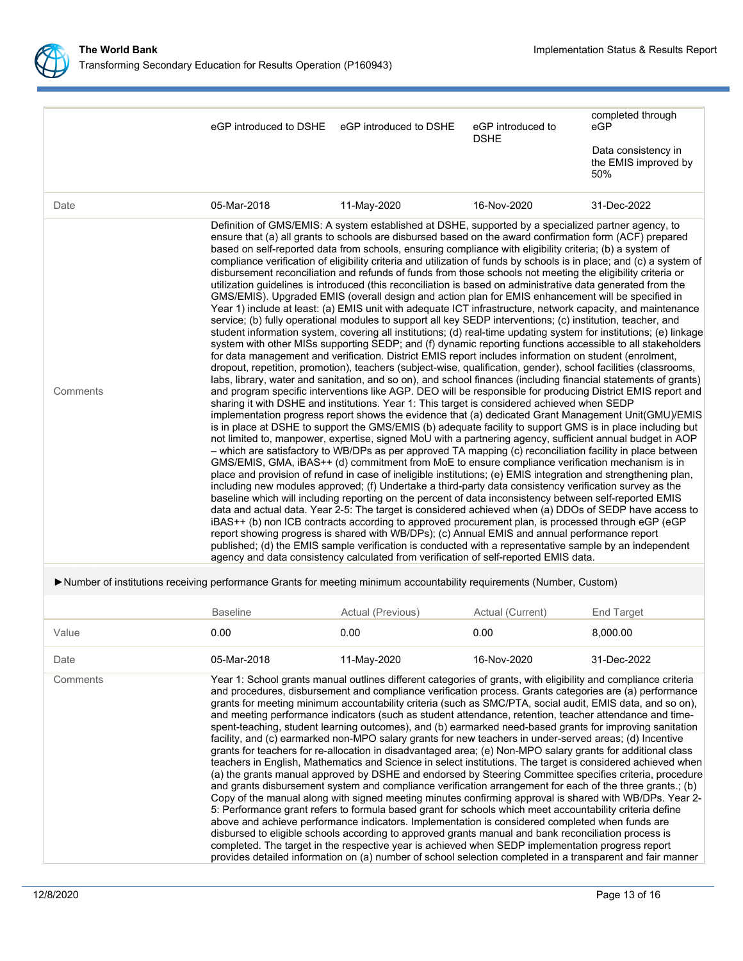

|                                                                                                                       | eGP introduced to DSHE                                                                                                                                                                                                                                                                                                                                                                                                                                                                                                                                                                                                                                                                                                                                                                                                                                                                                                                                                                                                                                                                                                                                                                                                                                                                                                                                                                                                                                                                                                                                                                                                                                                                                                                                                                                                                                                                                                                                                                                                                                                                                                                                                                                                                                                                                                                                                                                                                                                                                                                                                                                                                                                                                                                                                                                                                                                                                                                                                                                                                                                                                                                                                                                                                  | eGP introduced to DSHE                                                                                                                                                                                                                                                                                                                                                                                                                                                                                                                                                                                                                                                                                                                                                                                                                                                                                                                                                                                                                                                                                                                                                                                                                                                                                                                                                                                                                                                                                                                                                                                                                                                                                                                                                              | eGP introduced to<br><b>DSHE</b> | completed through<br>eGP                           |  |
|-----------------------------------------------------------------------------------------------------------------------|-----------------------------------------------------------------------------------------------------------------------------------------------------------------------------------------------------------------------------------------------------------------------------------------------------------------------------------------------------------------------------------------------------------------------------------------------------------------------------------------------------------------------------------------------------------------------------------------------------------------------------------------------------------------------------------------------------------------------------------------------------------------------------------------------------------------------------------------------------------------------------------------------------------------------------------------------------------------------------------------------------------------------------------------------------------------------------------------------------------------------------------------------------------------------------------------------------------------------------------------------------------------------------------------------------------------------------------------------------------------------------------------------------------------------------------------------------------------------------------------------------------------------------------------------------------------------------------------------------------------------------------------------------------------------------------------------------------------------------------------------------------------------------------------------------------------------------------------------------------------------------------------------------------------------------------------------------------------------------------------------------------------------------------------------------------------------------------------------------------------------------------------------------------------------------------------------------------------------------------------------------------------------------------------------------------------------------------------------------------------------------------------------------------------------------------------------------------------------------------------------------------------------------------------------------------------------------------------------------------------------------------------------------------------------------------------------------------------------------------------------------------------------------------------------------------------------------------------------------------------------------------------------------------------------------------------------------------------------------------------------------------------------------------------------------------------------------------------------------------------------------------------------------------------------------------------------------------------------------------------|-------------------------------------------------------------------------------------------------------------------------------------------------------------------------------------------------------------------------------------------------------------------------------------------------------------------------------------------------------------------------------------------------------------------------------------------------------------------------------------------------------------------------------------------------------------------------------------------------------------------------------------------------------------------------------------------------------------------------------------------------------------------------------------------------------------------------------------------------------------------------------------------------------------------------------------------------------------------------------------------------------------------------------------------------------------------------------------------------------------------------------------------------------------------------------------------------------------------------------------------------------------------------------------------------------------------------------------------------------------------------------------------------------------------------------------------------------------------------------------------------------------------------------------------------------------------------------------------------------------------------------------------------------------------------------------------------------------------------------------------------------------------------------------|----------------------------------|----------------------------------------------------|--|
|                                                                                                                       |                                                                                                                                                                                                                                                                                                                                                                                                                                                                                                                                                                                                                                                                                                                                                                                                                                                                                                                                                                                                                                                                                                                                                                                                                                                                                                                                                                                                                                                                                                                                                                                                                                                                                                                                                                                                                                                                                                                                                                                                                                                                                                                                                                                                                                                                                                                                                                                                                                                                                                                                                                                                                                                                                                                                                                                                                                                                                                                                                                                                                                                                                                                                                                                                                                         |                                                                                                                                                                                                                                                                                                                                                                                                                                                                                                                                                                                                                                                                                                                                                                                                                                                                                                                                                                                                                                                                                                                                                                                                                                                                                                                                                                                                                                                                                                                                                                                                                                                                                                                                                                                     |                                  | Data consistency in<br>the EMIS improved by<br>50% |  |
| Date                                                                                                                  | 05-Mar-2018                                                                                                                                                                                                                                                                                                                                                                                                                                                                                                                                                                                                                                                                                                                                                                                                                                                                                                                                                                                                                                                                                                                                                                                                                                                                                                                                                                                                                                                                                                                                                                                                                                                                                                                                                                                                                                                                                                                                                                                                                                                                                                                                                                                                                                                                                                                                                                                                                                                                                                                                                                                                                                                                                                                                                                                                                                                                                                                                                                                                                                                                                                                                                                                                                             | 11-May-2020                                                                                                                                                                                                                                                                                                                                                                                                                                                                                                                                                                                                                                                                                                                                                                                                                                                                                                                                                                                                                                                                                                                                                                                                                                                                                                                                                                                                                                                                                                                                                                                                                                                                                                                                                                         | 16-Nov-2020                      | 31-Dec-2022                                        |  |
| Comments                                                                                                              | Definition of GMS/EMIS: A system established at DSHE, supported by a specialized partner agency, to<br>ensure that (a) all grants to schools are disbursed based on the award confirmation form (ACF) prepared<br>based on self-reported data from schools, ensuring compliance with eligibility criteria; (b) a system of<br>compliance verification of eligibility criteria and utilization of funds by schools is in place; and (c) a system of<br>disbursement reconciliation and refunds of funds from those schools not meeting the eligibility criteria or<br>utilization guidelines is introduced (this reconciliation is based on administrative data generated from the<br>GMS/EMIS). Upgraded EMIS (overall design and action plan for EMIS enhancement will be specified in<br>Year 1) include at least: (a) EMIS unit with adequate ICT infrastructure, network capacity, and maintenance<br>service; (b) fully operational modules to support all key SEDP interventions; (c) institution, teacher, and<br>student information system, covering all institutions; (d) real-time updating system for institutions; (e) linkage<br>system with other MISs supporting SEDP; and (f) dynamic reporting functions accessible to all stakeholders<br>for data management and verification. District EMIS report includes information on student (enrolment,<br>dropout, repetition, promotion), teachers (subject-wise, qualification, gender), school facilities (classrooms,<br>labs, library, water and sanitation, and so on), and school finances (including financial statements of grants)<br>and program specific interventions like AGP. DEO will be responsible for producing District EMIS report and<br>sharing it with DSHE and institutions. Year 1: This target is considered achieved when SEDP<br>implementation progress report shows the evidence that (a) dedicated Grant Management Unit(GMU)/EMIS<br>is in place at DSHE to support the GMS/EMIS (b) adequate facility to support GMS is in place including but<br>not limited to, manpower, expertise, signed MoU with a partnering agency, sufficient annual budget in AOP<br>- which are satisfactory to WB/DPs as per approved TA mapping (c) reconciliation facility in place between<br>GMS/EMIS, GMA, iBAS++ (d) commitment from MoE to ensure compliance verification mechanism is in<br>place and provision of refund in case of ineligible institutions; (e) EMIS integration and strengthening plan,<br>including new modules approved; (f) Undertake a third-party data consistency verification survey as the<br>baseline which will including reporting on the percent of data inconsistency between self-reported EMIS<br>data and actual data. Year 2-5: The target is considered achieved when (a) DDOs of SEDP have access to<br>iBAS++ (b) non ICB contracts according to approved procurement plan, is processed through eGP (eGP<br>report showing progress is shared with WB/DPs); (c) Annual EMIS and annual performance report<br>published; (d) the EMIS sample verification is conducted with a representative sample by an independent<br>agency and data consistency calculated from verification of self-reported EMIS data. |                                                                                                                                                                                                                                                                                                                                                                                                                                                                                                                                                                                                                                                                                                                                                                                                                                                                                                                                                                                                                                                                                                                                                                                                                                                                                                                                                                                                                                                                                                                                                                                                                                                                                                                                                                                     |                                  |                                                    |  |
| >Number of institutions receiving performance Grants for meeting minimum accountability requirements (Number, Custom) |                                                                                                                                                                                                                                                                                                                                                                                                                                                                                                                                                                                                                                                                                                                                                                                                                                                                                                                                                                                                                                                                                                                                                                                                                                                                                                                                                                                                                                                                                                                                                                                                                                                                                                                                                                                                                                                                                                                                                                                                                                                                                                                                                                                                                                                                                                                                                                                                                                                                                                                                                                                                                                                                                                                                                                                                                                                                                                                                                                                                                                                                                                                                                                                                                                         |                                                                                                                                                                                                                                                                                                                                                                                                                                                                                                                                                                                                                                                                                                                                                                                                                                                                                                                                                                                                                                                                                                                                                                                                                                                                                                                                                                                                                                                                                                                                                                                                                                                                                                                                                                                     |                                  |                                                    |  |
|                                                                                                                       | <b>Baseline</b>                                                                                                                                                                                                                                                                                                                                                                                                                                                                                                                                                                                                                                                                                                                                                                                                                                                                                                                                                                                                                                                                                                                                                                                                                                                                                                                                                                                                                                                                                                                                                                                                                                                                                                                                                                                                                                                                                                                                                                                                                                                                                                                                                                                                                                                                                                                                                                                                                                                                                                                                                                                                                                                                                                                                                                                                                                                                                                                                                                                                                                                                                                                                                                                                                         | Actual (Previous)                                                                                                                                                                                                                                                                                                                                                                                                                                                                                                                                                                                                                                                                                                                                                                                                                                                                                                                                                                                                                                                                                                                                                                                                                                                                                                                                                                                                                                                                                                                                                                                                                                                                                                                                                                   | Actual (Current)                 | <b>End Target</b>                                  |  |
| Value                                                                                                                 | 0.00                                                                                                                                                                                                                                                                                                                                                                                                                                                                                                                                                                                                                                                                                                                                                                                                                                                                                                                                                                                                                                                                                                                                                                                                                                                                                                                                                                                                                                                                                                                                                                                                                                                                                                                                                                                                                                                                                                                                                                                                                                                                                                                                                                                                                                                                                                                                                                                                                                                                                                                                                                                                                                                                                                                                                                                                                                                                                                                                                                                                                                                                                                                                                                                                                                    | 0.00                                                                                                                                                                                                                                                                                                                                                                                                                                                                                                                                                                                                                                                                                                                                                                                                                                                                                                                                                                                                                                                                                                                                                                                                                                                                                                                                                                                                                                                                                                                                                                                                                                                                                                                                                                                | 0.00                             | 8.000.00                                           |  |
| Date                                                                                                                  | 05-Mar-2018                                                                                                                                                                                                                                                                                                                                                                                                                                                                                                                                                                                                                                                                                                                                                                                                                                                                                                                                                                                                                                                                                                                                                                                                                                                                                                                                                                                                                                                                                                                                                                                                                                                                                                                                                                                                                                                                                                                                                                                                                                                                                                                                                                                                                                                                                                                                                                                                                                                                                                                                                                                                                                                                                                                                                                                                                                                                                                                                                                                                                                                                                                                                                                                                                             | 11-May-2020                                                                                                                                                                                                                                                                                                                                                                                                                                                                                                                                                                                                                                                                                                                                                                                                                                                                                                                                                                                                                                                                                                                                                                                                                                                                                                                                                                                                                                                                                                                                                                                                                                                                                                                                                                         | 16-Nov-2020                      | 31-Dec-2022                                        |  |
| Comments                                                                                                              |                                                                                                                                                                                                                                                                                                                                                                                                                                                                                                                                                                                                                                                                                                                                                                                                                                                                                                                                                                                                                                                                                                                                                                                                                                                                                                                                                                                                                                                                                                                                                                                                                                                                                                                                                                                                                                                                                                                                                                                                                                                                                                                                                                                                                                                                                                                                                                                                                                                                                                                                                                                                                                                                                                                                                                                                                                                                                                                                                                                                                                                                                                                                                                                                                                         | Year 1: School grants manual outlines different categories of grants, with eligibility and compliance criteria<br>and procedures, disbursement and compliance verification process. Grants categories are (a) performance<br>grants for meeting minimum accountability criteria (such as SMC/PTA, social audit, EMIS data, and so on),<br>and meeting performance indicators (such as student attendance, retention, teacher attendance and time-<br>spent-teaching, student learning outcomes), and (b) earmarked need-based grants for improving sanitation<br>facility, and (c) earmarked non-MPO salary grants for new teachers in under-served areas; (d) Incentive<br>grants for teachers for re-allocation in disadvantaged area; (e) Non-MPO salary grants for additional class<br>teachers in English, Mathematics and Science in select institutions. The target is considered achieved when<br>(a) the grants manual approved by DSHE and endorsed by Steering Committee specifies criteria, procedure<br>and grants disbursement system and compliance verification arrangement for each of the three grants.; (b)<br>Copy of the manual along with signed meeting minutes confirming approval is shared with WB/DPs. Year 2-<br>5: Performance grant refers to formula based grant for schools which meet accountability criteria define<br>above and achieve performance indicators. Implementation is considered completed when funds are<br>disbursed to eligible schools according to approved grants manual and bank reconciliation process is<br>completed. The target in the respective year is achieved when SEDP implementation progress report<br>provides detailed information on (a) number of school selection completed in a transparent and fair manner |                                  |                                                    |  |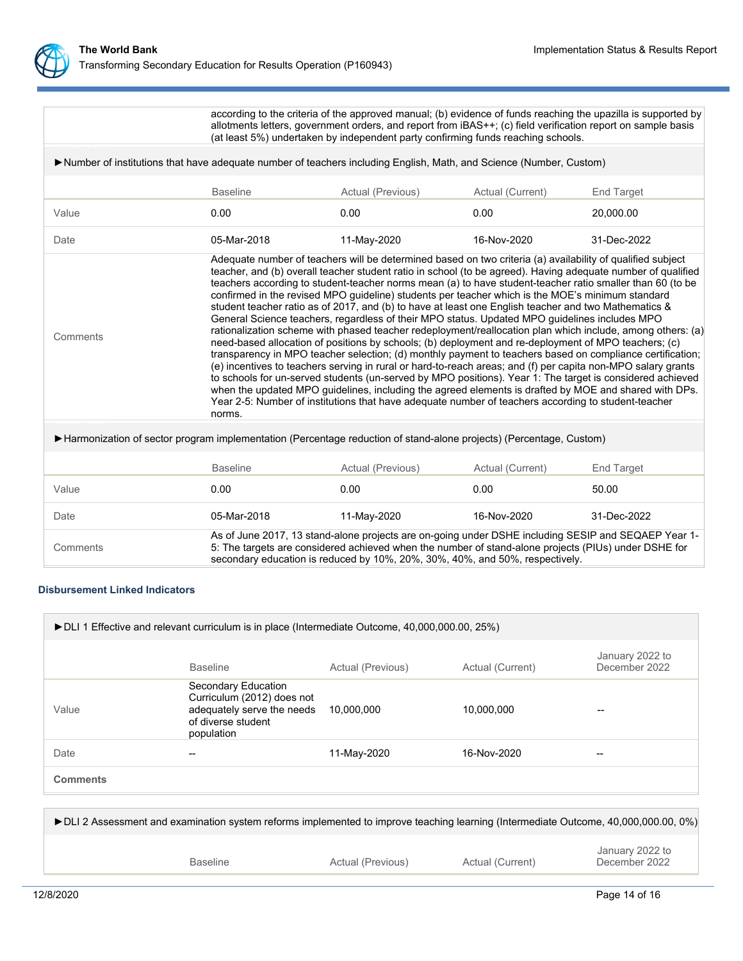

**Comments** 

according to the criteria of the approved manual; (b) evidence of funds reaching the upazilla is supported by allotments letters, government orders, and report from iBAS++; (c) field verification report on sample basis (at least 5%) undertaken by independent party confirming funds reaching schools.

## ►Number of institutions that have adequate number of teachers including English, Math, and Science (Number, Custom)

|       | <b>Baseline</b> | Actual (Previous) | Actual (Current) | End Target  |
|-------|-----------------|-------------------|------------------|-------------|
| Value | 0.00            | 0.00              | 0.00             | 20,000.00   |
| Date  | 05-Mar-2018     | 11-May-2020       | 16-Nov-2020      | 31-Dec-2022 |

Adequate number of teachers will be determined based on two criteria (a) availability of qualified subject teacher, and (b) overall teacher student ratio in school (to be agreed). Having adequate number of qualified teachers according to student-teacher norms mean (a) to have student-teacher ratio smaller than 60 (to be confirmed in the revised MPO guideline) students per teacher which is the MOE's minimum standard student teacher ratio as of 2017, and (b) to have at least one English teacher and two Mathematics & General Science teachers, regardless of their MPO status. Updated MPO guidelines includes MPO rationalization scheme with phased teacher redeployment/reallocation plan which include, among others: (a) need-based allocation of positions by schools; (b) deployment and re-deployment of MPO teachers; (c) transparency in MPO teacher selection; (d) monthly payment to teachers based on compliance certification; (e) incentives to teachers serving in rural or hard-to-reach areas; and (f) per capita non-MPO salary grants to schools for un-served students (un-served by MPO positions). Year 1: The target is considered achieved when the updated MPO guidelines, including the agreed elements is drafted by MOE and shared with DPs. Year 2-5: Number of institutions that have adequate number of teachers according to student-teacher  $\blacksquare$ norms.

# ►Harmonization of sector program implementation (Percentage reduction of stand-alone projects) (Percentage, Custom)

|          | <b>Baseline</b> | Actual (Previous)                                                                                                                                                                                                                                                                           | Actual (Current) | End Target  |
|----------|-----------------|---------------------------------------------------------------------------------------------------------------------------------------------------------------------------------------------------------------------------------------------------------------------------------------------|------------------|-------------|
| Value    | 0.00            | 0.00                                                                                                                                                                                                                                                                                        | 0.00             | 50.00       |
| Date     | 05-Mar-2018     | 11-Mav-2020                                                                                                                                                                                                                                                                                 | 16-Nov-2020      | 31-Dec-2022 |
| Comments |                 | As of June 2017, 13 stand-alone projects are on-going under DSHE including SESIP and SEQAEP Year 1-<br>5: The targets are considered achieved when the number of stand-alone projects (PIUs) under DSHE for<br>secondary education is reduced by 10%, 20%, 30%, 40%, and 50%, respectively. |                  |             |

# **Disbursement Linked Indicators**

| ► DLI 1 Effective and relevant curriculum is in place (Intermediate Outcome, 40,000,000.00, 25%) |                                                                                                                     |                   |                  |                                  |  |
|--------------------------------------------------------------------------------------------------|---------------------------------------------------------------------------------------------------------------------|-------------------|------------------|----------------------------------|--|
|                                                                                                  | <b>Baseline</b>                                                                                                     | Actual (Previous) | Actual (Current) | January 2022 to<br>December 2022 |  |
| Value                                                                                            | Secondary Education<br>Curriculum (2012) does not<br>adequately serve the needs<br>of diverse student<br>population | 10,000,000        | 10,000,000       |                                  |  |
| Date                                                                                             |                                                                                                                     | 11-May-2020       | 16-Nov-2020      |                                  |  |
| <b>Comments</b>                                                                                  |                                                                                                                     |                   |                  |                                  |  |
|                                                                                                  |                                                                                                                     |                   |                  |                                  |  |

| ► DLI 2 Assessment and examination system reforms implemented to improve teaching learning (Intermediate Outcome, 40,000,000.00, 0%) |                   |                  |                                  |
|--------------------------------------------------------------------------------------------------------------------------------------|-------------------|------------------|----------------------------------|
| <b>Baseline</b>                                                                                                                      | Actual (Previous) | Actual (Current) | January 2022 to<br>December 2022 |
|                                                                                                                                      |                   |                  |                                  |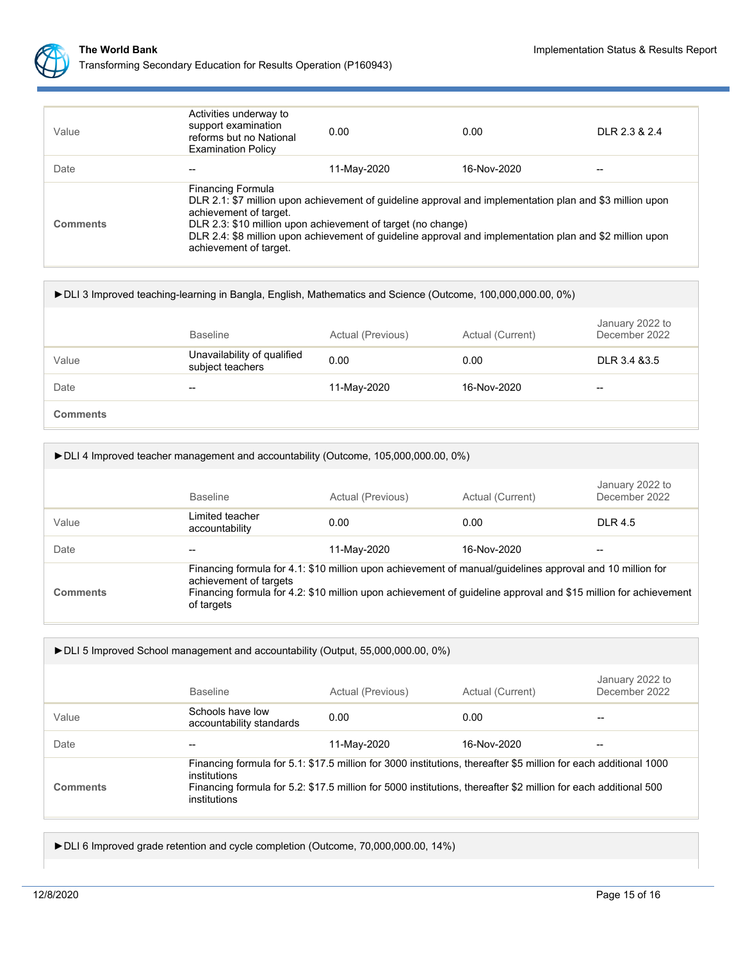

| Value           | Activities underway to<br>support examination<br>reforms but no National<br><b>Examination Policy</b>                                                                                                                                                                                                                                                                | 0.00        | 0.00        | DLR 23 & 24              |
|-----------------|----------------------------------------------------------------------------------------------------------------------------------------------------------------------------------------------------------------------------------------------------------------------------------------------------------------------------------------------------------------------|-------------|-------------|--------------------------|
| Date            |                                                                                                                                                                                                                                                                                                                                                                      | 11-May-2020 | 16-Nov-2020 | $\overline{\phantom{m}}$ |
| <b>Comments</b> | <b>Financing Formula</b><br>DLR 2.1: \$7 million upon achievement of guideline approval and implementation plan and \$3 million upon<br>achievement of target.<br>DLR 2.3: \$10 million upon achievement of target (no change)<br>DLR 2.4: \$8 million upon achievement of guideline approval and implementation plan and \$2 million upon<br>achievement of target. |             |             |                          |

| > DLI 3 Improved teaching-learning in Bangla, English, Mathematics and Science (Outcome, 100,000,000.00, 0%) |                                                 |                   |                  |                                  |  |
|--------------------------------------------------------------------------------------------------------------|-------------------------------------------------|-------------------|------------------|----------------------------------|--|
|                                                                                                              | <b>Baseline</b>                                 | Actual (Previous) | Actual (Current) | January 2022 to<br>December 2022 |  |
| Value                                                                                                        | Unavailability of qualified<br>subject teachers | 0.00              | 0.00             | DLR 3.4 & 3.5                    |  |
| Date                                                                                                         | $- -$                                           | 11-May-2020       | 16-Nov-2020      | $\overline{\phantom{a}}$         |  |
| <b>Comments</b>                                                                                              |                                                 |                   |                  |                                  |  |

| ► DLI 4 Improved teacher management and accountability (Outcome, 105,000,000.00, 0%) |                                                                                                                                                                                                                                                                      |                   |                  |                                  |  |
|--------------------------------------------------------------------------------------|----------------------------------------------------------------------------------------------------------------------------------------------------------------------------------------------------------------------------------------------------------------------|-------------------|------------------|----------------------------------|--|
|                                                                                      | <b>Baseline</b>                                                                                                                                                                                                                                                      | Actual (Previous) | Actual (Current) | January 2022 to<br>December 2022 |  |
| Value                                                                                | Limited teacher<br>accountability                                                                                                                                                                                                                                    | 0.00              | 0.00             | DI R 4.5                         |  |
| Date                                                                                 |                                                                                                                                                                                                                                                                      | 11-May-2020       | 16-Nov-2020      | --                               |  |
| <b>Comments</b>                                                                      | Financing formula for 4.1: \$10 million upon achievement of manual/guidelines approval and 10 million for<br>achievement of targets<br>Financing formula for 4.2: \$10 million upon achievement of guideline approval and \$15 million for achievement<br>of targets |                   |                  |                                  |  |

| ► DLI 5 Improved School management and accountability (Output, 55,000,000.00, 0%) |                                                                                                                                                                                                                                                                     |                   |                  |                                  |  |
|-----------------------------------------------------------------------------------|---------------------------------------------------------------------------------------------------------------------------------------------------------------------------------------------------------------------------------------------------------------------|-------------------|------------------|----------------------------------|--|
|                                                                                   | <b>Baseline</b>                                                                                                                                                                                                                                                     | Actual (Previous) | Actual (Current) | January 2022 to<br>December 2022 |  |
| Value                                                                             | Schools have low<br>accountability standards                                                                                                                                                                                                                        | 0.00              | 0.00             |                                  |  |
| Date                                                                              | --                                                                                                                                                                                                                                                                  | 11-May-2020       | 16-Nov-2020      | --                               |  |
| <b>Comments</b>                                                                   | Financing formula for 5.1: \$17.5 million for 3000 institutions, thereafter \$5 million for each additional 1000<br>institutions<br>Financing formula for 5.2: \$17.5 million for 5000 institutions, thereafter \$2 million for each additional 500<br>institutions |                   |                  |                                  |  |

►DLI 6 Improved grade retention and cycle completion (Outcome, 70,000,000.00, 14%)